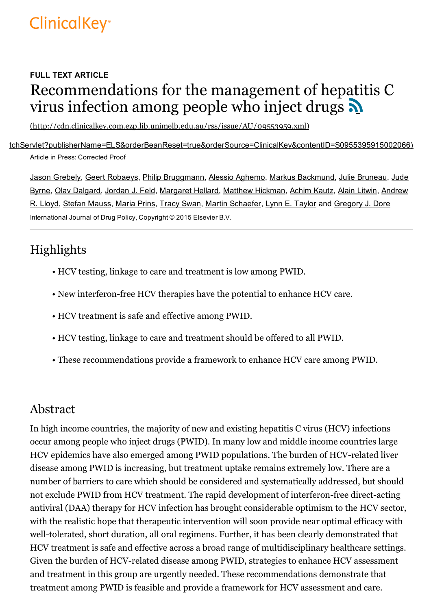# **ClinicalKey**<sup>®</sup>

# FULL TEXT ARTICLE Recommendations for the management of hepatitis C virus infection among people who inject drugs

[\(http://cdn.clinicalkey.com.ezp.lib.unimelb.edu.au/rss/issue/AU/09553959.xml\)](http://cdn.clinicalkey.com.ezp.lib.unimelb.edu.au/rss/issue/AU/09553959.xml)

[\(https://s100.copyright.com/AppDispatchServlet?publisherName=ELS&orderBeanReset=true&orderSource=ClinicalKey&contentID=S0955395915002066\)](https://s100.copyright.com/AppDispatchServlet?publisherName=ELS&orderBeanReset=true&orderSource=ClinicalKey&contentID=S0955395915002066) Article in Press: Corrected Proof

Jason Grebely, Geert Robaeys, Philip Bruggmann, Alessio Aghemo, Markus Backmund, Julie Bruneau, Jude Byrne, Olav Dalgard, Jordan J. Feld, Margaret Hellard, Matthew Hickman, Achim Kautz, Alain Litwin, Andrew R. Lloyd, Stefan Mauss, Maria Prins, Tracy Swan, Martin Schaefer, Lynn E. Taylor and Gregory J. Dore International Journal of Drug Policy, Copyright © 2015 Elsevier B.V.

# Highlights

- HCV testing, linkage to care and treatment is low among PWID.
- New interferon-free HCV therapies have the potential to enhance HCV care.
- HCV treatment is safe and effective among PWID.
- HCV testing, linkage to care and treatment should be offered to all PWID.
- These recommendations provide a framework to enhance HCV care among PWID.

# Abstract

In high income countries, the majority of new and existing hepatitis C virus (HCV) infections occur among people who inject drugs (PWID). In many low and middle income countries large HCV epidemics have also emerged among PWID populations. The burden of HCV-related liver disease among PWID is increasing, but treatment uptake remains extremely low. There are a number of barriers to care which should be considered and systematically addressed, but should not exclude PWID from HCV treatment. The rapid development of interferon-free direct-acting antiviral (DAA) therapy for HCV infection has brought considerable optimism to the HCV sector, with the realistic hope that therapeutic intervention will soon provide near optimal efficacy with well-tolerated, short duration, all oral regimens. Further, it has been clearly demonstrated that HCV treatment is safe and effective across a broad range of multidisciplinary healthcare settings. Given the burden of HCV-related disease among PWID, strategies to enhance HCV assessment and treatment in this group are urgently needed. These recommendations demonstrate that treatment among PWID is feasible and provide a framework for HCV assessment and care.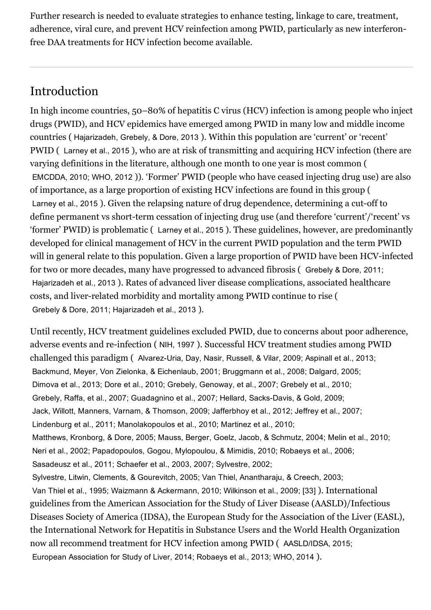Further research is needed to evaluate strategies to enhance testing, linkage to care, treatment, adherence, viral cure, and prevent HCV reinfection among PWID, particularly as new interferonfree DAA treatments for HCV infection become available.

# Introduction

In high income countries, 50–80% of hepatitis C virus (HCV) infection is among people who inject drugs (PWID), and HCV epidemics have emerged among PWID in many low and middle income countries ( Hajarizadeh, Grebely, & Dore, 2013 ). Within this population are 'current' or 'recent' PWID ( Larney et al., 2015 ), who are at risk of transmitting and acquiring HCV infection (there are varying definitions in the literature, although one month to one year is most common ( EMCDDA, 2010; WHO, 2012 )). 'Former' PWID (people who have ceased injecting drug use) are also of importance, as a large proportion of existing HCV infections are found in this group ( Larney et al., 2015). Given the relapsing nature of drug dependence, determining a cut-off to define permanent vs short-term cessation of injecting drug use (and therefore 'current'/'recent' vs 'former' PWID) is problematic ( Larney et al., 2015 ). These guidelines, however, are predominantly developed for clinical management of HCV in the current PWID population and the term PWID will in general relate to this population. Given a large proportion of PWID have been HCV-infected for two or more decades, many have progressed to advanced fibrosis ( Grebely & Dore, 2011; Hajarizadeh et al., 2013 ). Rates of advanced liver disease complications, associated healthcare costs, and liver-related morbidity and mortality among PWID continue to rise ( Grebely & Dore, 2011; Hajarizadeh et al., 2013 ).

Until recently, HCV treatment guidelines excluded PWID, due to concerns about poor adherence, adverse events and re-infection ( NIH, 1997 ). Successful HCV treatment studies among PWID challenged this paradigm (Alvarez-Uria, Day, Nasir, Russell, & Vilar, 2009; Aspinall et al., 2013; Backmund, Meyer, Von Zielonka, & Eichenlaub, 2001; Bruggmann et al., 2008; Dalgard, 2005; Dimova et al., 2013; Dore et al., 2010; Grebely, Genoway, et al., 2007; Grebely et al., 2010; Grebely, Raffa, et al., 2007; Guadagnino et al., 2007; Hellard, Sacks-Davis, & Gold, 2009; Jack, Willott, Manners, Varnam, & Thomson, 2009; Jafferbhoy et al., 2012; Jeffrey et al., 2007; Lindenburg et al., 2011; Manolakopoulos et al., 2010; Martinez et al., 2010; Matthews, Kronborg, & Dore, 2005; Mauss, Berger, Goelz, Jacob, & Schmutz, 2004; Melin et al., 2010; Neri et al., 2002; Papadopoulos, Gogou, Mylopoulou, & Mimidis, 2010; Robaeys et al., 2006; Sasadeusz et al., 2011; Schaefer et al., 2003, 2007; Sylvestre, 2002; Sylvestre, Litwin, Clements, & Gourevitch, 2005; Van Thiel, Anantharaju, & Creech, 2003; Van Thiel et al., 1995; Waizmann & Ackermann, 2010; Wilkinson et al., 2009; [33] ). International guidelines from the American Association for the Study of Liver Disease (AASLD)/Infectious Diseases Society of America (IDSA), the European Study for the Association of the Liver (EASL), the International Network for Hepatitis in Substance Users and the World Health Organization now all recommend treatment for HCV infection among PWID ( AASLD/IDSA, 2015; European Association for Study of Liver, 2014; Robaeys et al., 2013; WHO, 2014 ).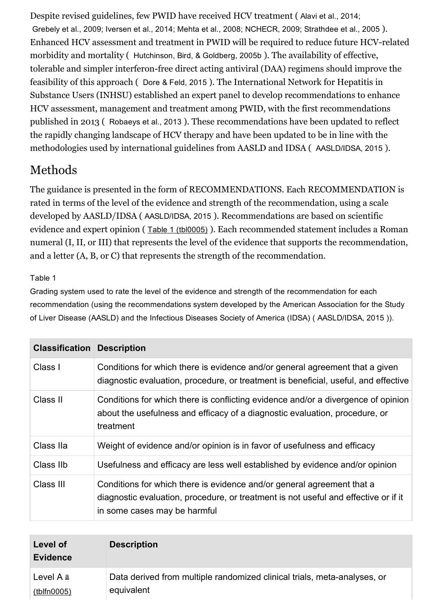Despite revised guidelines, few PWID have received HCV treatment ( Alavi et al., 2014; Grebely et al., 2009; Iversen et al., 2014; Mehta et al., 2008; NCHECR, 2009; Strathdee et al., 2005 ). Enhanced HCV assessment and treatment in PWID will be required to reduce future HCV-related morbidity and mortality ( Hutchinson, Bird, & Goldberg, 2005b ). The availability of effective, tolerable and simpler interferon-free direct acting antiviral (DAA) regimens should improve the feasibility of this approach ( Dore & Feld, 2015 ). The International Network for Hepatitis in Substance Users (INHSU) established an expert panel to develop recommendations to enhance HCV assessment, management and treatment among PWID, with the first recommendations published in 2013 ( Robaeys et al., 2013 ). These recommendations have been updated to reflect the rapidly changing landscape of HCV therapy and have been updated to be in line with the methodologies used by international guidelines from AASLD and IDSA ( AASLD/IDSA, 2015 ).

# Methods

The guidance is presented in the form of RECOMMENDATIONS. Each RECOMMENDATION is rated in terms of the level of the evidence and strength of the recommendation, using a scale developed by AASLD/IDSA ( AASLD/IDSA, 2015 ). Recommendations are based on scientific evidence and expert opinion ( Table 1 [\(tbl0005\)](https://www-clinicalkey-com-au.ezp.lib.unimelb.edu.au/tbl0005) ). Each recommended statement includes a Roman numeral (I, II, or III) that represents the level of the evidence that supports the recommendation, and a letter (A, B, or C) that represents the strength of the recommendation.

#### Table 1

Grading system used to rate the level of the evidence and strength of the recommendation for each recommendation (using the recommendations system developed by the American Association for the Study of Liver Disease (AASLD) and the Infectious Diseases Society of America (IDSA) ( AASLD/IDSA, 2015 )).

| <b>Classification Description</b> |                                                                                                                                                                                               |
|-----------------------------------|-----------------------------------------------------------------------------------------------------------------------------------------------------------------------------------------------|
| Class I                           | Conditions for which there is evidence and/or general agreement that a given<br>diagnostic evaluation, procedure, or treatment is beneficial, useful, and effective                           |
| Class II                          | Conditions for which there is conflicting evidence and/or a divergence of opinion<br>about the usefulness and efficacy of a diagnostic evaluation, procedure, or<br>treatment                 |
| Class IIa                         | Weight of evidence and/or opinion is in favor of usefulness and efficacy                                                                                                                      |
| Class IIb                         | Usefulness and efficacy are less well established by evidence and/or opinion                                                                                                                  |
| Class III                         | Conditions for which there is evidence and/or general agreement that a<br>diagnostic evaluation, procedure, or treatment is not useful and effective or if it<br>in some cases may be harmful |

| Level of<br><b>Evidence</b> | <b>Description</b>                                                       |
|-----------------------------|--------------------------------------------------------------------------|
| Level A a                   | Data derived from multiple randomized clinical trials, meta-analyses, or |
| (tblfn0005)                 | equivalent                                                               |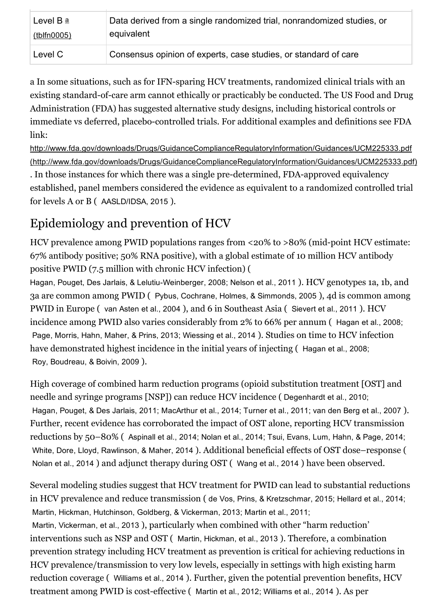| Level B a          | Data derived from a single randomized trial, nonrandomized studies, or |
|--------------------|------------------------------------------------------------------------|
| <u>(tblfn0005)</u> | equivalent                                                             |
| Level C            | Consensus opinion of experts, case studies, or standard of care        |

a In some situations, such as for IFN-sparing HCV treatments, randomized clinical trials with an existing standard-of-care arm cannot ethically or practicably be conducted. The US Food and Drug Administration (FDA) has suggested alternative study designs, including historical controls or immediate vs deferred, placebo-controlled trials. For additional examples and definitions see FDA link:

http://www.fda.gov/downloads/Drugs/GuidanceComplianceRegulatoryInformation/Guidances/UCM225333.pdf [\(http://www.fda.gov/downloads/Drugs/GuidanceComplianceRegulatoryInformation/Guidances/UCM225333.pdf\)](http://www.fda.gov/downloads/Drugs/GuidanceComplianceRegulatoryInformation/Guidances/UCM225333.pdf) . In those instances for which there was a single pre-determined, FDA-approved equivalency established, panel members considered the evidence as equivalent to a randomized controlled trial for levels A or B ( AASLD/IDSA, 2015 ).

# Epidemiology and prevention of HCV

HCV prevalence among PWID populations ranges from <20% to >80% (mid-point HCV estimate: 67% antibody positive; 50% RNA positive), with a global estimate of 10 million HCV antibody positive PWID (7.5 million with chronic HCV infection) (

Hagan, Pouget, Des Jarlais, & Lelutiu-Weinberger, 2008; Nelson et al., 2011). HCV genotypes 1a, 1b, and 3a are common among PWID ( Pybus, Cochrane, Holmes, & Simmonds, 2005 ), 4d is common among PWID in Europe ( van Asten et al., 2004 ), and 6 in Southeast Asia ( Sievert et al., 2011 ). HCV incidence among PWID also varies considerably from 2% to 66% per annum ( Hagan et al., 2008; Page, Morris, Hahn, Maher, & Prins, 2013; Wiessing et al., 2014 ). Studies on time to HCV infection have demonstrated highest incidence in the initial years of injecting (Hagan et al., 2008; Roy, Boudreau, & Boivin, 2009 ).

High coverage of combined harm reduction programs (opioid substitution treatment [OST] and needle and syringe programs [NSP]) can reduce HCV incidence ( Degenhardt et al., 2010; Hagan, Pouget, & Des Jarlais, 2011; MacArthur et al., 2014; Turner et al., 2011; van den Berg et al., 2007 ). Further, recent evidence has corroborated the impact of OST alone, reporting HCV transmission reductions by 50–80% ( Aspinall et al., 2014; Nolan et al., 2014; Tsui, Evans, Lum, Hahn, & Page, 2014; White, Dore, Lloyd, Rawlinson, & Maher, 2014 ). Additional beneficial effects of OST dose–response ( Nolan et al., 2014 ) and adjunct therapy during OST ( Wang et al., 2014 ) have been observed.

Several modeling studies suggest that HCV treatment for PWID can lead to substantial reductions in HCV prevalence and reduce transmission ( de Vos, Prins, & Kretzschmar, 2015; Hellard et al., 2014; Martin, Hickman, Hutchinson, Goldberg, & Vickerman, 2013; Martin et al., 2011; Martin, Vickerman, et al., 2013 ), particularly when combined with other "harm reduction' interventions such as NSP and OST ( Martin, Hickman, et al., 2013 ). Therefore, a combination prevention strategy including HCV treatment as prevention is critical for achieving reductions in HCV prevalence/transmission to very low levels, especially in settings with high existing harm reduction coverage ( Williams et al., 2014 ). Further, given the potential prevention benefits, HCV treatment among PWID is cost-effective (Martin et al., 2012; Williams et al., 2014). As per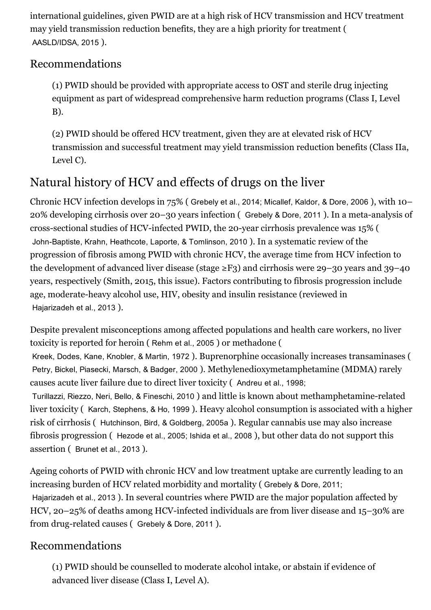international guidelines, given PWID are at a high risk of HCV transmission and HCV treatment may yield transmission reduction benefits, they are a high priority for treatment ( AASLD/IDSA, 2015 ).

#### Recommendations

(1) PWID should be provided with appropriate access to OST and sterile drug injecting equipment as part of widespread comprehensive harm reduction programs (Class I, Level B).

(2) PWID should be offered HCV treatment, given they are at elevated risk of HCV transmission and successful treatment may yield transmission reduction benefits (Class IIa, Level C).

# Natural history of HCV and effects of drugs on the liver

Chronic HCV infection develops in 75% ( Grebely et al., 2014; Micallef, Kaldor, & Dore, 2006 ), with 10–  $20\%$  developing cirrhosis over  $20-30$  years infection (Grebely & Dore, 2011). In a meta-analysis of cross-sectional studies of HCV-infected PWID, the 20-year cirrhosis prevalence was 15% ( John-Baptiste, Krahn, Heathcote, Laporte, & Tomlinson, 2010 ). In a systematic review of the progression of fibrosis among PWID with chronic HCV, the average time from HCV infection to the development of advanced liver disease (stage ≥F3) and cirrhosis were 29–30 years and 39–40 years, respectively (Smith, 2015, this issue). Factors contributing to fibrosis progression include age, moderate-heavy alcohol use, HIV, obesity and insulin resistance (reviewed in Hajarizadeh et al., 2013 ).

Despite prevalent misconceptions among affected populations and health care workers, no liver toxicity is reported for heroin ( Rehm et al., 2005 ) or methadone (

Kreek, Dodes, Kane, Knobler, & Martin, 1972 ). Buprenorphine occasionally increases transaminases ( Petry, Bickel, Piasecki, Marsch, & Badger, 2000 ). Methylenedioxymetamphetamine (MDMA) rarely causes acute liver failure due to direct liver toxicity ( Andreu et al., 1998;

Turillazzi, Riezzo, Neri, Bello, & Fineschi, 2010 ) and little is known about methamphetamine-related liver toxicity ( Karch, Stephens, & Ho, 1999 ). Heavy alcohol consumption is associated with a higher risk of cirrhosis ( Hutchinson, Bird, & Goldberg, 2005a ). Regular cannabis use may also increase fibrosis progression ( Hezode et al., 2005; Ishida et al., 2008 ), but other data do not support this assertion ( Brunet et al., 2013 ).

Ageing cohorts of PWID with chronic HCV and low treatment uptake are currently leading to an increasing burden of HCV related morbidity and mortality ( Grebely & Dore, 2011; Hajarizadeh et al., 2013 ). In several countries where PWID are the major population affected by HCV, 20–25% of deaths among HCV-infected individuals are from liver disease and 15–30% are from drug-related causes (Grebely & Dore, 2011).

#### Recommendations

(1) PWID should be counselled to moderate alcohol intake, or abstain if evidence of advanced liver disease (Class I, Level A).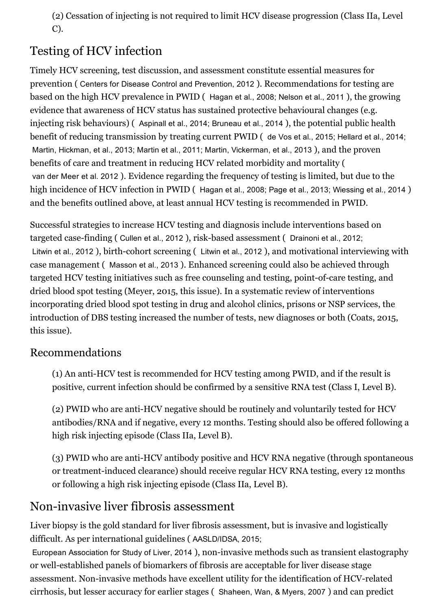(2) Cessation of injecting is not required to limit HCV disease progression (Class IIa, Level C).

# Testing of HCV infection

Timely HCV screening, test discussion, and assessment constitute essential measures for prevention ( Centers for Disease Control and Prevention, 2012 ). Recommendations for testing are based on the high HCV prevalence in PWID ( Hagan et al., 2008; Nelson et al., 2011 ), the growing evidence that awareness of HCV status has sustained protective behavioural changes (e.g. injecting risk behaviours) ( Aspinall et al., 2014; Bruneau et al., 2014 ), the potential public health benefit of reducing transmission by treating current PWID ( de Vos et al., 2015; Hellard et al., 2014; Martin, Hickman, et al., 2013; Martin et al., 2011; Martin, Vickerman, et al., 2013 ), and the proven benefits of care and treatment in reducing HCV related morbidity and mortality ( van der Meer et al. 2012 ). Evidence regarding the frequency of testing is limited, but due to the high incidence of HCV infection in PWID ( Hagan et al., 2008; Page et al., 2013; Wiessing et al., 2014 ) and the benefits outlined above, at least annual HCV testing is recommended in PWID.

Successful strategies to increase HCV testing and diagnosis include interventions based on targeted case-finding ( Cullen et al., 2012 ), risk-based assessment ( Drainoni et al., 2012; Litwin et al., 2012 ), birth-cohort screening (Litwin et al., 2012), and motivational interviewing with case management ( Masson et al., 2013 ). Enhanced screening could also be achieved through targeted HCV testing initiatives such as free counseling and testing, point-of-care testing, and dried blood spot testing (Meyer, 2015, this issue). In a systematic review of interventions incorporating dried blood spot testing in drug and alcohol clinics, prisons or NSP services, the introduction of DBS testing increased the number of tests, new diagnoses or both (Coats, 2015, this issue).

#### Recommendations

(1) An anti-HCV test is recommended for HCV testing among PWID, and if the result is positive, current infection should be confirmed by a sensitive RNA test (Class I, Level B).

(2) PWID who are anti-HCV negative should be routinely and voluntarily tested for HCV antibodies/RNA and if negative, every 12 months. Testing should also be offered following a high risk injecting episode (Class IIa, Level B).

(3) PWID who are anti-HCV antibody positive and HCV RNA negative (through spontaneous or treatment-induced clearance) should receive regular HCV RNA testing, every 12 months or following a high risk injecting episode (Class IIa, Level B).

# Non-invasive liver fibrosis assessment

Liver biopsy is the gold standard for liver fibrosis assessment, but is invasive and logistically difficult. As per international guidelines ( AASLD/IDSA, 2015;

European Association for Study of Liver, 2014), non-invasive methods such as transient elastography or well-established panels of biomarkers of fibrosis are acceptable for liver disease stage assessment. Non-invasive methods have excellent utility for the identification of HCV-related cirrhosis, but lesser accuracy for earlier stages ( Shaheen, Wan, & Myers, 2007 ) and can predict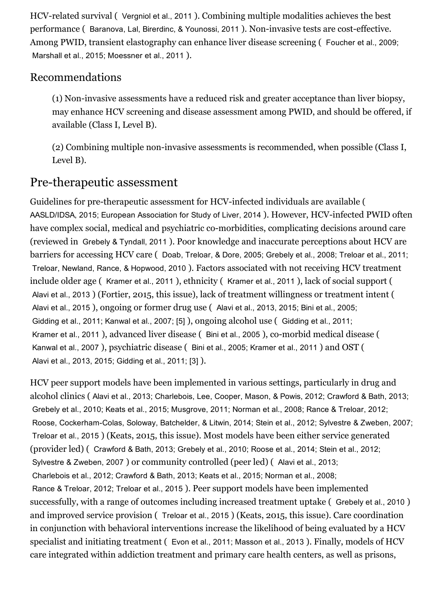HCV-related survival ( Vergniol et al., 2011 ). Combining multiple modalities achieves the best performance (Baranova, Lal, Birerdinc, & Younossi, 2011). Non-invasive tests are cost-effective. Among PWID, transient elastography can enhance liver disease screening ( Foucher et al., 2009; Marshall et al., 2015; Moessner et al., 2011 ).

#### Recommendations

(1) Non-invasive assessments have a reduced risk and greater acceptance than liver biopsy, may enhance HCV screening and disease assessment among PWID, and should be offered, if available (Class I, Level B).

 $(2)$  Combining multiple non-invasive assessments is recommended, when possible (Class I, Level B).

### Pre-therapeutic assessment

Guidelines for pre-therapeutic assessment for HCV-infected individuals are available ( AASLD/IDSA, 2015; European Association for Study of Liver, 2014 ). However, HCV-infected PWID often have complex social, medical and psychiatric co-morbidities, complicating decisions around care (reviewed in Grebely & Tyndall, 2011 ). Poor knowledge and inaccurate perceptions about HCV are barriers for accessing HCV care ( Doab, Treloar, & Dore, 2005; Grebely et al., 2008; Treloar et al., 2011; Treloar, Newland, Rance, & Hopwood, 2010 ). Factors associated with not receiving HCV treatment include older age ( Kramer et al., 2011 ), ethnicity ( Kramer et al., 2011 ), lack of social support ( Alavi et al., 2013 ) (Fortier, 2015, this issue), lack of treatment willingness or treatment intent ( Alavi et al., 2015 ), ongoing or former drug use ( Alavi et al., 2013, 2015; Bini et al., 2005; Gidding et al., 2011; Kanwal et al., 2007; [5] ), ongoing alcohol use ( Gidding et al., 2011; Kramer et al., 2011), advanced liver disease (Bini et al., 2005), co-morbid medical disease ( Kanwal et al., 2007 ), psychiatric disease ( Bini et al., 2005; Kramer et al., 2011 ) and OST ( Alavi et al., 2013, 2015; Gidding et al., 2011; [3] ).

HCV peer support models have been implemented in various settings, particularly in drug and alcohol clinics ( Alavi et al., 2013; Charlebois, Lee, Cooper, Mason, & Powis, 2012; Crawford & Bath, 2013; Grebely et al., 2010; Keats et al., 2015; Musgrove, 2011; Norman et al., 2008; Rance & Treloar, 2012; Roose, Cockerham-Colas, Soloway, Batchelder, & Litwin, 2014; Stein et al., 2012; Sylvestre & Zweben, 2007; Treloar et al., 2015 ) (Keats, 2015, this issue). Most models have been either service generated (provider led) ( Crawford & Bath, 2013; Grebely et al., 2010; Roose et al., 2014; Stein et al., 2012; Sylvestre & Zweben, 2007 ) or community controlled (peer led) ( Alavi et al., 2013; Charlebois et al., 2012; Crawford & Bath, 2013; Keats et al., 2015; Norman et al., 2008; Rance & Treloar, 2012; Treloar et al., 2015 ). Peer support models have been implemented successfully, with a range of outcomes including increased treatment uptake ( Grebely et al., 2010 ) and improved service provision ( Treloar et al., 2015 ) (Keats, 2015, this issue). Care coordination in conjunction with behavioral interventions increase the likelihood of being evaluated by a HCV specialist and initiating treatment ( Evon et al., 2011; Masson et al., 2013 ). Finally, models of HCV care integrated within addiction treatment and primary care health centers, as well as prisons,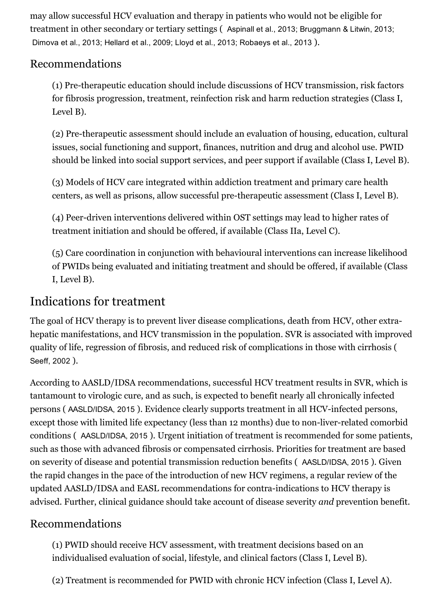may allow successful HCV evaluation and therapy in patients who would not be eligible for treatment in other secondary or tertiary settings ( Aspinall et al., 2013; Bruggmann & Litwin, 2013; Dimova et al., 2013; Hellard et al., 2009; Lloyd et al., 2013; Robaeys et al., 2013 ).

#### Recommendations

(1) Pretherapeutic education should include discussions of HCV transmission, risk factors for fibrosis progression, treatment, reinfection risk and harm reduction strategies (Class I, Level B).

(2) Pre-therapeutic assessment should include an evaluation of housing, education, cultural issues, social functioning and support, finances, nutrition and drug and alcohol use. PWID should be linked into social support services, and peer support if available (Class I, Level B).

(3) Models of HCV care integrated within addiction treatment and primary care health centers, as well as prisons, allow successful pre-therapeutic assessment (Class I, Level B).

(4) Peer-driven interventions delivered within OST settings may lead to higher rates of treatment initiation and should be offered, if available (Class IIa, Level C).

(5) Care coordination in conjunction with behavioural interventions can increase likelihood of PWIDs being evaluated and initiating treatment and should be offered, if available (Class I, Level B).

### Indications for treatment

The goal of HCV therapy is to prevent liver disease complications, death from HCV, other extrahepatic manifestations, and HCV transmission in the population. SVR is associated with improved quality of life, regression of fibrosis, and reduced risk of complications in those with cirrhosis ( Seeff, 2002 ).

According to AASLD/IDSA recommendations, successful HCV treatment results in SVR, which is tantamount to virologic cure, and as such, is expected to benefit nearly all chronically infected persons (AASLD/IDSA, 2015). Evidence clearly supports treatment in all HCV-infected persons, except those with limited life expectancy (less than 12 months) due to non-liver-related comorbid conditions ( AASLD/IDSA, 2015 ). Urgent initiation of treatment is recommended for some patients, such as those with advanced fibrosis or compensated cirrhosis. Priorities for treatment are based on severity of disease and potential transmission reduction benefits ( AASLD/IDSA, 2015 ). Given the rapid changes in the pace of the introduction of new HCV regimens, a regular review of the updated AASLD/IDSA and EASL recommendations for contra-indications to HCV therapy is advised. Further, clinical guidance should take account of disease severity and prevention benefit.

#### Recommendations

(1) PWID should receive HCV assessment, with treatment decisions based on an individualised evaluation of social, lifestyle, and clinical factors (Class I, Level B).

(2) Treatment is recommended for PWID with chronic HCV infection (Class I, Level A).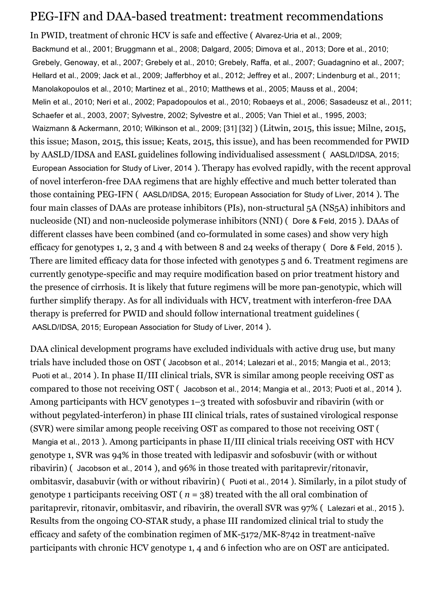### PEG-IFN and DAA-based treatment: treatment recommendations

In PWID, treatment of chronic HCV is safe and effective (Alvarez-Uria et al., 2009; Backmund et al., 2001; Bruggmann et al., 2008; Dalgard, 2005; Dimova et al., 2013; Dore et al., 2010; Grebely, Genoway, et al., 2007; Grebely et al., 2010; Grebely, Raffa, et al., 2007; Guadagnino et al., 2007; Hellard et al., 2009; Jack et al., 2009; Jafferbhoy et al., 2012; Jeffrey et al., 2007; Lindenburg et al., 2011; Manolakopoulos et al., 2010; Martinez et al., 2010; Matthews et al., 2005; Mauss et al., 2004; Melin et al., 2010; Neri et al., 2002; Papadopoulos et al., 2010; Robaeys et al., 2006; Sasadeusz et al., 2011; Schaefer et al., 2003, 2007; Sylvestre, 2002; Sylvestre et al., 2005; Van Thiel et al., 1995, 2003; Waizmann & Ackermann, 2010; Wilkinson et al., 2009; [31] [32] ) (Litwin, 2015, this issue; Milne, 2015, this issue; Mason, 2015, this issue; Keats, 2015, this issue), and has been recommended for PWID by AASLD/IDSA and EASL guidelines following individualised assessment ( AASLD/IDSA, 2015; European Association for Study of Liver, 2014 ). Therapy has evolved rapidly, with the recent approval of novel interferon-free DAA regimens that are highly effective and much better tolerated than those containing PEG-IFN ( AASLD/IDSA, 2015; European Association for Study of Liver, 2014). The four main classes of DAAs are protease inhibitors (PIs), non-structural 5A (NS5A) inhibitors and nucleoside (NI) and non-nucleoside polymerase inhibitors (NNI) (Dore & Feld, 2015). DAAs of different classes have been combined (and co-formulated in some cases) and show very high efficacy for genotypes 1, 2, 3 and 4 with between 8 and 24 weeks of therapy ( Dore & Feld, 2015 ). There are limited efficacy data for those infected with genotypes 5 and 6. Treatment regimens are currently genotype-specific and may require modification based on prior treatment history and the presence of cirrhosis. It is likely that future regimens will be more pangenotypic, which will further simplify therapy. As for all individuals with HCV, treatment with interferon-free DAA therapy is preferred for PWID and should follow international treatment guidelines ( AASLD/IDSA, 2015; European Association for Study of Liver, 2014 ).

DAA clinical development programs have excluded individuals with active drug use, but many trials have included those on OST ( Jacobson et al., 2014; Lalezari et al., 2015; Mangia et al., 2013; Puoti et al., 2014 ). In phase II/III clinical trials, SVR is similar among people receiving OST as compared to those not receiving OST ( Jacobson et al., 2014; Mangia et al., 2013; Puoti et al., 2014 ). Among participants with HCV genotypes 1–3 treated with sofosbuvir and ribavirin (with or without pegylated-interferon) in phase III clinical trials, rates of sustained virological response (SVR) were similar among people receiving OST as compared to those not receiving OST ( Mangia et al., 2013 ). Among participants in phase II/III clinical trials receiving OST with HCV genotype 1, SVR was 94% in those treated with ledipasvir and sofosbuvir (with or without ribavirin) ( Jacobson et al., 2014 ), and 96% in those treated with paritaprevir/ritonavir, ombitasvir, dasabuvir (with or without ribavirin) ( Puoti et al., 2014 ). Similarly, in a pilot study of genotype 1 participants receiving OST ( $n = 38$ ) treated with the all oral combination of paritaprevir, ritonavir, ombitasvir, and ribavirin, the overall SVR was 97% ( Lalezari et al., 2015 ). Results from the ongoing CO-STAR study, a phase III randomized clinical trial to study the efficacy and safety of the combination regimen of  $MK-5172/MK-8742$  in treatment-naïve participants with chronic HCV genotype 1, 4 and 6 infection who are on OST are anticipated.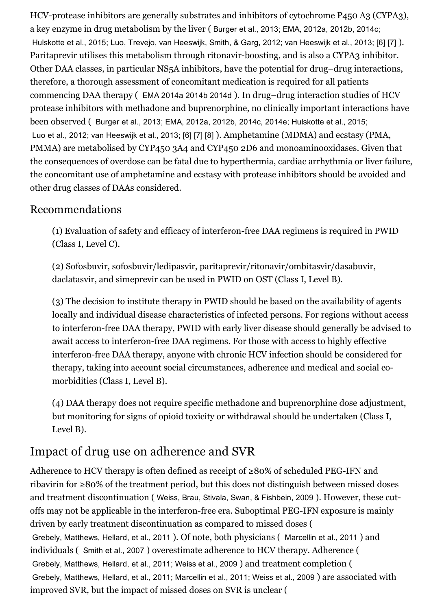HCV-protease inhibitors are generally substrates and inhibitors of cytochrome P450 A3 (CYPA3), a key enzyme in drug metabolism by the liver ( Burger et al., 2013; EMA, 2012a, 2012b, 2014c; Hulskotte et al., 2015; Luo, Trevejo, van Heeswijk, Smith, & Garg, 2012; van Heeswijk et al., 2013; [6] [7] ). Paritaprevir utilises this metabolism through ritonavir-boosting, and is also a CYPA3 inhibitor. Other DAA classes, in particular NS5A inhibitors, have the potential for drug–drug interactions, therefore, a thorough assessment of concomitant medication is required for all patients commencing DAA therapy ( EMA 2014a 2014b 2014d ). In drug–drug interaction studies of HCV protease inhibitors with methadone and buprenorphine, no clinically important interactions have been observed ( Burger et al., 2013; EMA, 2012a, 2012b, 2014c, 2014e; Hulskotte et al., 2015; Luo et al., 2012; van Heeswijk et al., 2013; [6] [7] [8] ). Amphetamine (MDMA) and ecstasy (PMA, PMMA) are metabolised by CYP450 3A4 and CYP450 2D6 and monoaminooxidases. Given that the consequences of overdose can be fatal due to hyperthermia, cardiac arrhythmia or liver failure, the concomitant use of amphetamine and ecstasy with protease inhibitors should be avoided and other drug classes of DAAs considered.

#### Recommendations

(1) Evaluation of safety and efficacy of interferon-free DAA regimens is required in PWID (Class I, Level C).

(2) Sofosbuvir, sofosbuvir/ledipasvir, paritaprevir/ritonavir/ombitasvir/dasabuvir, daclatasvir, and simeprevir can be used in PWID on OST (Class I, Level B).

(3) The decision to institute therapy in PWID should be based on the availability of agents locally and individual disease characteristics of infected persons. For regions without access to interferon-free DAA therapy, PWID with early liver disease should generally be advised to await access to interferon-free DAA regimens. For those with access to highly effective interferon-free DAA therapy, anyone with chronic HCV infection should be considered for therapy, taking into account social circumstances, adherence and medical and social comorbidities (Class I, Level B).

(4) DAA therapy does not require specific methadone and buprenorphine dose adjustment, but monitoring for signs of opioid toxicity or withdrawal should be undertaken (Class I, Level B).

# Impact of drug use on adherence and SVR

Adherence to HCV therapy is often defined as receipt of  $\geq 80\%$  of scheduled PEG-IFN and ribavirin for ≥80% of the treatment period, but this does not distinguish between missed doses and treatment discontinuation ( Weiss, Brau, Stivala, Swan, & Fishbein, 2009 ). However, these cutoffs may not be applicable in the interferon-free era. Suboptimal PEG-IFN exposure is mainly driven by early treatment discontinuation as compared to missed doses ( Grebely, Matthews, Hellard, et al., 2011 ). Of note, both physicians ( Marcellin et al., 2011 ) and individuals ( Smith et al., 2007 ) overestimate adherence to HCV therapy. Adherence ( Grebely, Matthews, Hellard, et al., 2011; Weiss et al., 2009 ) and treatment completion ( Grebely, Matthews, Hellard, et al., 2011; Marcellin et al., 2011; Weiss et al., 2009 ) are associated with improved SVR, but the impact of missed doses on SVR is unclear (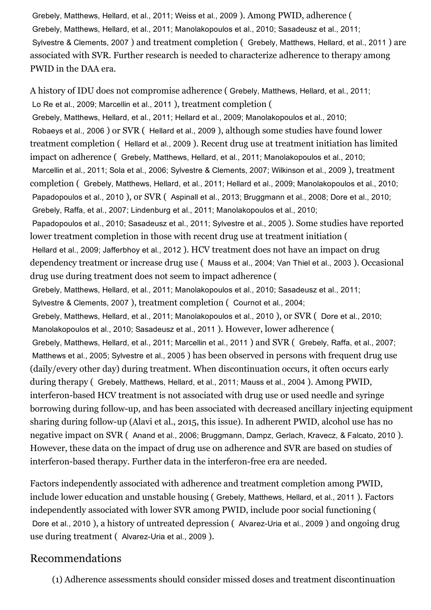Grebely, Matthews, Hellard, et al., 2011; Weiss et al., 2009 ). Among PWID, adherence ( Grebely, Matthews, Hellard, et al., 2011; Manolakopoulos et al., 2010; Sasadeusz et al., 2011; Sylvestre & Clements, 2007 ) and treatment completion ( Grebely, Matthews, Hellard, et al., 2011 ) are associated with SVR. Further research is needed to characterize adherence to therapy among PWID in the DAA era.

A history of IDU does not compromise adherence ( Grebely, Matthews, Hellard, et al., 2011; Lo Re et al., 2009; Marcellin et al., 2011 ), treatment completion ( Grebely, Matthews, Hellard, et al., 2011; Hellard et al., 2009; Manolakopoulos et al., 2010; Robaeys et al., 2006 ) or SVR ( Hellard et al., 2009 ), although some studies have found lower treatment completion ( Hellard et al., 2009 ). Recent drug use at treatment initiation has limited impact on adherence ( Grebely, Matthews, Hellard, et al., 2011; Manolakopoulos et al., 2010; Marcellin et al., 2011; Sola et al., 2006; Sylvestre & Clements, 2007; Wilkinson et al., 2009 ), treatment completion ( Grebely, Matthews, Hellard, et al., 2011; Hellard et al., 2009; Manolakopoulos et al., 2010; Papadopoulos et al., 2010 ), or SVR ( Aspinall et al., 2013; Bruggmann et al., 2008; Dore et al., 2010; Grebely, Raffa, et al., 2007; Lindenburg et al., 2011; Manolakopoulos et al., 2010; Papadopoulos et al., 2010; Sasadeusz et al., 2011; Sylvestre et al., 2005 ). Some studies have reported lower treatment completion in those with recent drug use at treatment initiation ( Hellard et al., 2009; Jafferbhoy et al., 2012 ). HCV treatment does not have an impact on drug dependency treatment or increase drug use ( Mauss et al., 2004; Van Thiel et al., 2003 ). Occasional drug use during treatment does not seem to impact adherence ( Grebely, Matthews, Hellard, et al., 2011; Manolakopoulos et al., 2010; Sasadeusz et al., 2011; Sylvestre & Clements, 2007 ), treatment completion ( Cournot et al., 2004; Grebely, Matthews, Hellard, et al., 2011; Manolakopoulos et al., 2010 ), or SVR ( Dore et al., 2010; Manolakopoulos et al., 2010; Sasadeusz et al., 2011 ). However, lower adherence ( Grebely, Matthews, Hellard, et al., 2011; Marcellin et al., 2011 ) and SVR ( Grebely, Raffa, et al., 2007; Matthews et al., 2005; Sylvestre et al., 2005 ) has been observed in persons with frequent drug use (daily/every other day) during treatment. When discontinuation occurs, it often occurs early during therapy ( Grebely, Matthews, Hellard, et al., 2011; Mauss et al., 2004 ). Among PWID, interferon-based HCV treatment is not associated with drug use or used needle and syringe borrowing during follow-up, and has been associated with decreased ancillary injecting equipment sharing during follow-up (Alavi et al., 2015, this issue). In adherent PWID, alcohol use has no negative impact on SVR ( Anand et al., 2006; Bruggmann, Dampz, Gerlach, Kravecz, & Falcato, 2010 ). However, these data on the impact of drug use on adherence and SVR are based on studies of interferon-based therapy. Further data in the interferon-free era are needed.

Factors independently associated with adherence and treatment completion among PWID, include lower education and unstable housing ( Grebely, Matthews, Hellard, et al., 2011 ). Factors independently associated with lower SVR among PWID, include poor social functioning ( Dore et al., 2010), a history of untreated depression (Alvarez-Uria et al., 2009) and ongoing drug use during treatment (Alvarez-Uria et al., 2009).

#### Recommendations

(1) Adherence assessments should consider missed doses and treatment discontinuation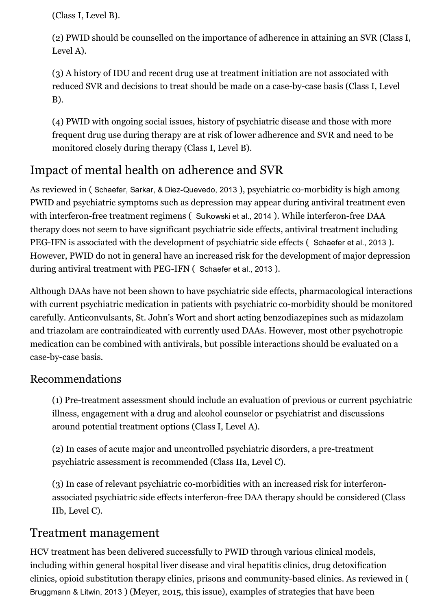(Class I, Level B).

(2) PWID should be counselled on the importance of adherence in attaining an SVR (Class I, Level A).

(3) A history of IDU and recent drug use at treatment initiation are not associated with reduced SVR and decisions to treat should be made on a case-by-case basis (Class I, Level B).

(4) PWID with ongoing social issues, history of psychiatric disease and those with more frequent drug use during therapy are at risk of lower adherence and SVR and need to be monitored closely during therapy (Class I, Level B).

# Impact of mental health on adherence and SVR

As reviewed in (Schaefer, Sarkar, & Diez-Quevedo, 2013), psychiatric co-morbidity is high among PWID and psychiatric symptoms such as depression may appear during antiviral treatment even with interferon-free treatment regimens ( Sulkowski et al., 2014 ). While interferon-free DAA therapy does not seem to have significant psychiatric side effects, antiviral treatment including PEG-IFN is associated with the development of psychiatric side effects (Schaefer et al., 2013). However, PWID do not in general have an increased risk for the development of major depression during antiviral treatment with PEG-IFN (Schaefer et al., 2013).

Although DAAs have not been shown to have psychiatric side effects, pharmacological interactions with current psychiatric medication in patients with psychiatric co-morbidity should be monitored carefully. Anticonvulsants, St. John's Wort and short acting benzodiazepines such as midazolam and triazolam are contraindicated with currently used DAAs. However, most other psychotropic medication can be combined with antivirals, but possible interactions should be evaluated on a case-by-case basis.

#### Recommendations

(1) Pretreatment assessment should include an evaluation of previous or current psychiatric illness, engagement with a drug and alcohol counselor or psychiatrist and discussions around potential treatment options (Class I, Level A).

(2) In cases of acute major and uncontrolled psychiatric disorders, a pre-treatment psychiatric assessment is recommended (Class IIa, Level C).

(3) In case of relevant psychiatric co-morbidities with an increased risk for interferonassociated psychiatric side effects interferon-free DAA therapy should be considered (Class IIb, Level C).

### Treatment management

HCV treatment has been delivered successfully to PWID through various clinical models, including within general hospital liver disease and viral hepatitis clinics, drug detoxification clinics, opioid substitution therapy clinics, prisons and community-based clinics. As reviewed in ( Bruggmann & Litwin, 2013 ) (Meyer, 2015, this issue), examples of strategies that have been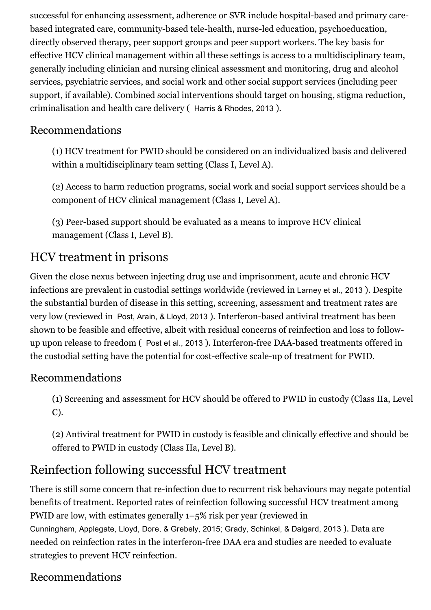successful for enhancing assessment, adherence or SVR include hospital-based and primary carebased integrated care, community-based tele-health, nurse-led education, psychoeducation, directly observed therapy, peer support groups and peer support workers. The key basis for effective HCV clinical management within all these settings is access to a multidisciplinary team, generally including clinician and nursing clinical assessment and monitoring, drug and alcohol services, psychiatric services, and social work and other social support services (including peer support, if available). Combined social interventions should target on housing, stigma reduction, criminalisation and health care delivery ( Harris & Rhodes, 2013 ).

#### Recommendations

(1) HCV treatment for PWID should be considered on an individualized basis and delivered within a multidisciplinary team setting (Class I, Level A).

(2) Access to harm reduction programs, social work and social support services should be a component of HCV clinical management (Class I, Level A).

(3) Peer-based support should be evaluated as a means to improve HCV clinical management (Class I, Level B).

# HCV treatment in prisons

Given the close nexus between injecting drug use and imprisonment, acute and chronic HCV infections are prevalent in custodial settings worldwide (reviewed in Larney et al., 2013 ). Despite the substantial burden of disease in this setting, screening, assessment and treatment rates are very low (reviewed in Post, Arain, & Lloyd, 2013). Interferon-based antiviral treatment has been shown to be feasible and effective, albeit with residual concerns of reinfection and loss to followup upon release to freedom (Post et al., 2013). Interferon-free DAA-based treatments offered in the custodial setting have the potential for cost-effective scale-up of treatment for PWID.

#### Recommendations

(1) Screening and assessment for HCV should be offered to PWID in custody (Class IIa, Level C).

(2) Antiviral treatment for PWID in custody is feasible and clinically effective and should be offered to PWID in custody (Class IIa, Level B).

# Reinfection following successful HCV treatment

There is still some concern that re-infection due to recurrent risk behaviours may negate potential benefits of treatment. Reported rates of reinfection following successful HCV treatment among PWID are low, with estimates generally 1–5% risk per year (reviewed in Cunningham, Applegate, Lloyd, Dore, & Grebely, 2015; Grady, Schinkel, & Dalgard, 2013 ). Data are needed on reinfection rates in the interferon-free DAA era and studies are needed to evaluate strategies to prevent HCV reinfection.

### Recommendations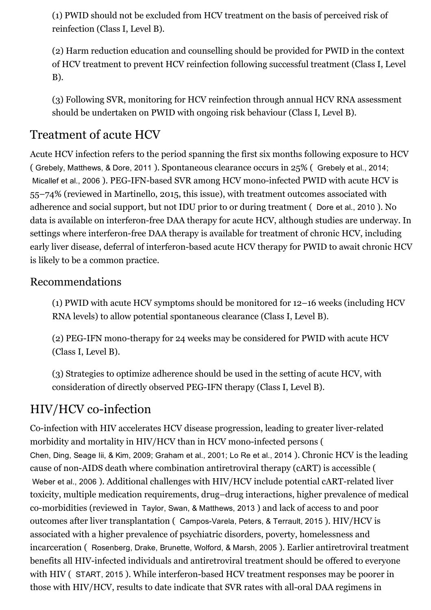(1) PWID should not be excluded from HCV treatment on the basis of perceived risk of reinfection (Class I, Level B).

(2) Harm reduction education and counselling should be provided for PWID in the context of HCV treatment to prevent HCV reinfection following successful treatment (Class I, Level B).

(3) Following SVR, monitoring for HCV reinfection through annual HCV RNA assessment should be undertaken on PWID with ongoing risk behaviour (Class I, Level B).

# Treatment of acute HCV

Acute HCV infection refers to the period spanning the first six months following exposure to HCV ( Grebely, Matthews, & Dore, 2011 ). Spontaneous clearance occurs in 25% ( Grebely et al., 2014; Micallef et al., 2006). PEG-IFN-based SVR among HCV mono-infected PWID with acute HCV is 55–74% (reviewed in Martinello, 2015, this issue), with treatment outcomes associated with adherence and social support, but not IDU prior to or during treatment ( Dore et al., 2010 ). No data is available on interferon-free DAA therapy for acute HCV, although studies are underway. In settings where interferon-free DAA therapy is available for treatment of chronic HCV, including early liver disease, deferral of interferon-based acute HCV therapy for PWID to await chronic HCV is likely to be a common practice.

#### Recommendations

(1) PWID with acute HCV symptoms should be monitored for 12–16 weeks (including HCV RNA levels) to allow potential spontaneous clearance (Class I, Level B).

(2) PEG-IFN mono-therapy for 24 weeks may be considered for PWID with acute HCV (Class I, Level B).

(3) Strategies to optimize adherence should be used in the setting of acute HCV, with consideration of directly observed PEG-IFN therapy (Class I, Level B).

# HIV/HCV co-infection

Co-infection with HIV accelerates HCV disease progression, leading to greater liver-related morbidity and mortality in HIV/HCV than in HCV mono-infected persons ( Chen, Ding, Seage Iii, & Kim, 2009; Graham et al., 2001; Lo Re et al., 2014 ). Chronic HCV is the leading cause of non-AIDS death where combination antiretroviral therapy (cART) is accessible ( Weber et al., 2006). Additional challenges with HIV/HCV include potential cART-related liver toxicity, multiple medication requirements, drug–drug interactions, higher prevalence of medical co-morbidities (reviewed in Taylor, Swan, & Matthews, 2013) and lack of access to and poor outcomes after liver transplantation (Campos-Varela, Peters, & Terrault, 2015). HIV/HCV is associated with a higher prevalence of psychiatric disorders, poverty, homelessness and incarceration ( Rosenberg, Drake, Brunette, Wolford, & Marsh, 2005 ). Earlier antiretroviral treatment benefits all HIV-infected individuals and antiretroviral treatment should be offered to everyone with HIV (START, 2015). While interferon-based HCV treatment responses may be poorer in those with HIV/HCV, results to date indicate that SVR rates with all-oral DAA regimens in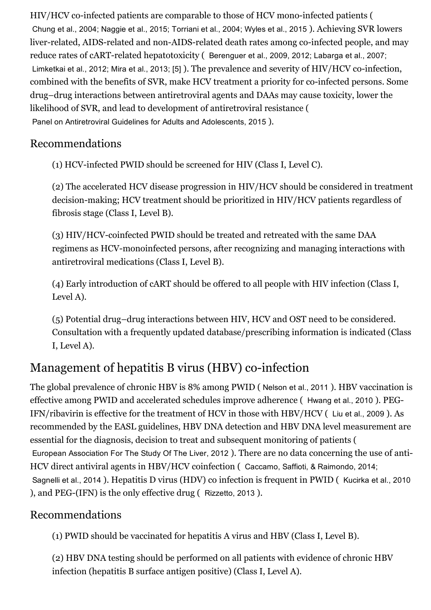HIV/HCV co-infected patients are comparable to those of HCV mono-infected patients ( Chung et al., 2004; Naggie et al., 2015; Torriani et al., 2004; Wyles et al., 2015 ). Achieving SVR lowers liver-related, AIDS-related and non-AIDS-related death rates among co-infected people, and may reduce rates of cART-related hepatotoxicity (Berenguer et al., 2009, 2012; Labarga et al., 2007; Limketkai et al., 2012; Mira et al., 2013; [5] ). The prevalence and severity of HIV/HCV co-infection, combined with the benefits of SVR, make HCV treatment a priority for co-infected persons. Some drug–drug interactions between antiretroviral agents and DAAs may cause toxicity, lower the likelihood of SVR, and lead to development of antiretroviral resistance ( Panel on Antiretroviral Guidelines for Adults and Adolescents, 2015 ).

#### Recommendations

(1) HCV-infected PWID should be screened for HIV (Class I, Level C).

(2) The accelerated HCV disease progression in HIV/HCV should be considered in treatment decision-making; HCV treatment should be prioritized in HIV/HCV patients regardless of fibrosis stage (Class I, Level B).

(3) HIV/HCV-coinfected PWID should be treated and retreated with the same DAA regimens as HCV-monoinfected persons, after recognizing and managing interactions with antiretroviral medications (Class I, Level B).

(4) Early introduction of cART should be offered to all people with HIV infection (Class I, Level A).

(5) Potential drug–drug interactions between HIV, HCV and OST need to be considered. Consultation with a frequently updated database/prescribing information is indicated (Class I, Level A).

# Management of hepatitis B virus (HBV) co-infection

The global prevalence of chronic HBV is 8% among PWID ( Nelson et al., 2011 ). HBV vaccination is effective among PWID and accelerated schedules improve adherence ( Hwang et al., 2010 ). PEG-IFN/ribavirin is effective for the treatment of HCV in those with HBV/HCV ( Liu et al., 2009 ). As recommended by the EASL guidelines, HBV DNA detection and HBV DNA level measurement are essential for the diagnosis, decision to treat and subsequent monitoring of patients ( European Association For The Study Of The Liver, 2012 ). There are no data concerning the use of anti-HCV direct antiviral agents in HBV/HCV coinfection ( Caccamo, Saffioti, & Raimondo, 2014; Sagnelli et al., 2014 ). Hepatitis D virus (HDV) co infection is frequent in PWID ( Kucirka et al., 2010 ), and PEG-(IFN) is the only effective drug (Rizzetto, 2013).

#### Recommendations

(1) PWID should be vaccinated for hepatitis A virus and HBV (Class I, Level B).

(2) HBV DNA testing should be performed on all patients with evidence of chronic HBV infection (hepatitis B surface antigen positive) (Class I, Level A).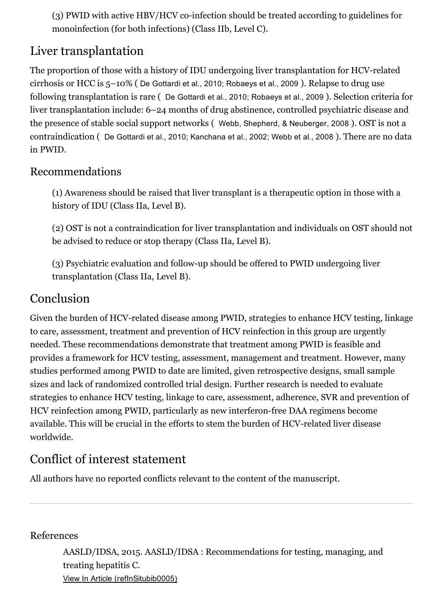$(3)$  PWID with active HBV/HCV co-infection should be treated according to guidelines for monoinfection (for both infections) (Class IIb, Level C).

# Liver transplantation

The proportion of those with a history of IDU undergoing liver transplantation for HCV-related cirrhosis or HCC is 5–10% ( De Gottardi et al., 2010; Robaeys et al., 2009 ). Relapse to drug use following transplantation is rare ( De Gottardi et al., 2010; Robaeys et al., 2009 ). Selection criteria for liver transplantation include: 6–24 months of drug abstinence, controlled psychiatric disease and the presence of stable social support networks ( Webb, Shepherd, & Neuberger, 2008 ). OST is not a contraindication ( De Gottardi et al., 2010; Kanchana et al., 2002; Webb et al., 2008 ). There are no data in PWID.

### Recommendations

(1) Awareness should be raised that liver transplant is a therapeutic option in those with a history of IDU (Class IIa, Level B).

(2) OST is not a contraindication for liver transplantation and individuals on OST should not be advised to reduce or stop therapy (Class IIa, Level B).

(3) Psychiatric evaluation and followup should be offered to PWID undergoing liver transplantation (Class IIa, Level B).

# Conclusion

Given the burden of HCV-related disease among PWID, strategies to enhance HCV testing, linkage to care, assessment, treatment and prevention of HCV reinfection in this group are urgently needed. These recommendations demonstrate that treatment among PWID is feasible and provides a framework for HCV testing, assessment, management and treatment. However, many studies performed among PWID to date are limited, given retrospective designs, small sample sizes and lack of randomized controlled trial design. Further research is needed to evaluate strategies to enhance HCV testing, linkage to care, assessment, adherence, SVR and prevention of HCV reinfection among PWID, particularly as new interferon-free DAA regimens become available. This will be crucial in the efforts to stem the burden of HCV-related liver disease worldwide.

# Conflict of interest statement

All authors have no reported conflicts relevant to the content of the manuscript.

#### References

AASLD/IDSA, 2015. AASLD/IDSA : Recommendations for testing, managing, and treating hepatitis C. View In Article [\(refInSitubib0005\)](https://www-clinicalkey-com-au.ezp.lib.unimelb.edu.au/refInSitubib0005)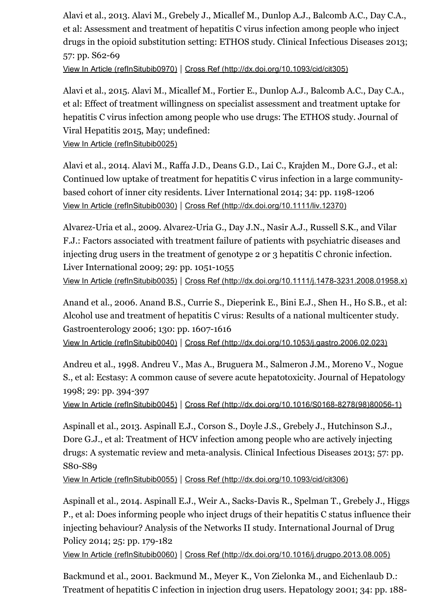Alavi et al., 2013. Alavi M., Grebely J., Micallef M., Dunlop A.J., Balcomb A.C., Day C.A., et al: Assessment and treatment of hepatitis C virus infection among people who inject drugs in the opioid substitution setting: ETHOS study. Clinical Infectious Diseases 2013; 57: pp. S62-69

View In Article [\(refInSitubib0970\)](https://www-clinicalkey-com-au.ezp.lib.unimelb.edu.au/refInSitubib0970) | Cross Ref [\(http://dx.doi.org/10.1093/cid/cit305\)](http://dx.doi.org/10.1093/cid/cit305)

Alavi et al., 2015. Alavi M., Micallef M., Fortier E., Dunlop A.J., Balcomb A.C., Day C.A., et al: Effect of treatment willingness on specialist assessment and treatment uptake for hepatitis C virus infection among people who use drugs: The ETHOS study. Journal of Viral Hepatitis 2015, May; undefined:

View In Article [\(refInSitubib0025\)](https://www-clinicalkey-com-au.ezp.lib.unimelb.edu.au/refInSitubib0025)

Alavi et al., 2014. Alavi M., Raffa J.D., Deans G.D., Lai C., Krajden M., Dore G.J., et al: Continued low uptake of treatment for hepatitis C virus infection in a large communitybased cohort of inner city residents. Liver International 2014; 34: pp. 1198-1206 View In Article [\(refInSitubib0030\)](https://www-clinicalkey-com-au.ezp.lib.unimelb.edu.au/refInSitubib0030) | Cross Ref [\(http://dx.doi.org/10.1111/liv.12370\)](http://dx.doi.org/10.1111/liv.12370)

Alvarez-Uria et al., 2009. Alvarez-Uria G., Day J.N., Nasir A.J., Russell S.K., and Vilar F.J.: Factors associated with treatment failure of patients with psychiatric diseases and injecting drug users in the treatment of genotype 2 or 3 hepatitis C chronic infection. Liver International 2009; 29: pp. 1051-1055 View In Article [\(refInSitubib0035\)](https://www-clinicalkey-com-au.ezp.lib.unimelb.edu.au/refInSitubib0035) | Cross Ref (http://dx.doi.org/10.1111/j.1478-3231.2008.01958.x)

Anand et al., 2006. Anand B.S., Currie S., Dieperink E., Bini E.J., Shen H., Ho S.B., et al: Alcohol use and treatment of hepatitis C virus: Results of a national multicenter study. Gastroenterology 2006; 130: pp. 1607-1616 View In Article [\(refInSitubib0040\)](https://www-clinicalkey-com-au.ezp.lib.unimelb.edu.au/refInSitubib0040) | Cross Ref [\(http://dx.doi.org/10.1053/j.gastro.2006.02.023\)](http://dx.doi.org/10.1053/j.gastro.2006.02.023)

Andreu et al., 1998. Andreu V., Mas A., Bruguera M., Salmeron J.M., Moreno V., Nogue S., et al: Ecstasy: A common cause of severe acute hepatotoxicity. Journal of Hepatology 1998; 29: pp. 394397

View In Article [\(refInSitubib0045\)](https://www-clinicalkey-com-au.ezp.lib.unimelb.edu.au/refInSitubib0045) | Cross Ref (http://dx.doi.org/10.1016/S0168-8278(98)80056-1)

Aspinall et al., 2013. Aspinall E.J., Corson S., Doyle J.S., Grebely J., Hutchinson S.J., Dore G.J., et al: Treatment of HCV infection among people who are actively injecting drugs: A systematic review and meta-analysis. Clinical Infectious Diseases 2013; 57: pp. S80-S89

View In Article [\(refInSitubib0055\)](https://www-clinicalkey-com-au.ezp.lib.unimelb.edu.au/refInSitubib0055) | Cross Ref [\(http://dx.doi.org/10.1093/cid/cit306\)](http://dx.doi.org/10.1093/cid/cit306)

Aspinall et al., 2014. Aspinall E.J., Weir A., Sacks-Davis R., Spelman T., Grebely J., Higgs P., et al: Does informing people who inject drugs of their hepatitis C status influence their injecting behaviour? Analysis of the Networks II study. International Journal of Drug Policy 2014; 25: pp. 179-182

View In Article [\(refInSitubib0060\)](https://www-clinicalkey-com-au.ezp.lib.unimelb.edu.au/refInSitubib0060) | Cross Ref [\(http://dx.doi.org/10.1016/j.drugpo.2013.08.005\)](http://dx.doi.org/10.1016/j.drugpo.2013.08.005)

Backmund et al., 2001. Backmund M., Meyer K., Von Zielonka M., and Eichenlaub D.: Treatment of hepatitis C infection in injection drug users. Hepatology 2001; 34: pp. 188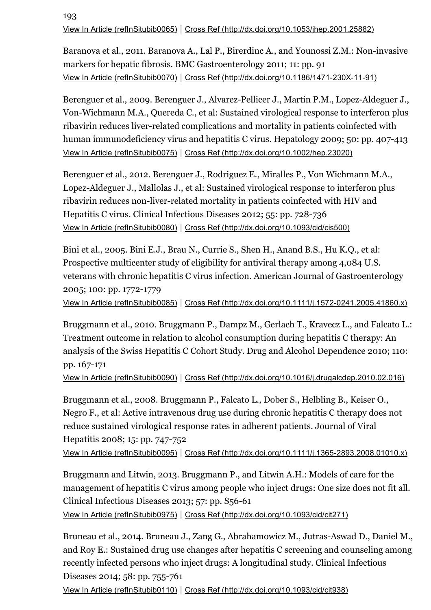193 View In Article [\(refInSitubib0065\)](https://www-clinicalkey-com-au.ezp.lib.unimelb.edu.au/refInSitubib0065) | Cross Ref [\(http://dx.doi.org/10.1053/jhep.2001.25882\)](http://dx.doi.org/10.1053/jhep.2001.25882)

Baranova et al., 2011. Baranova A., Lal P., Birerdinc A., and Younossi Z.M.: Non-invasive markers for hepatic fibrosis. BMC Gastroenterology 2011; 11: pp. 91 View In Article [\(refInSitubib0070\)](https://www-clinicalkey-com-au.ezp.lib.unimelb.edu.au/refInSitubib0070) | Cross Ref (http://dx.doi.org/10.1186/1471-230X-11-91)

Berenguer et al., 2009. Berenguer J., Alvarez-Pellicer J., Martin P.M., Lopez-Aldeguer J., Von-Wichmann M.A., Quereda C., et al: Sustained virological response to interferon plus ribavirin reduces liver-related complications and mortality in patients coinfected with human immunodeficiency virus and hepatitis C virus. Hepatology 2009; 50: pp. 407-413 View In Article [\(refInSitubib0075\)](https://www-clinicalkey-com-au.ezp.lib.unimelb.edu.au/refInSitubib0075) | Cross Ref [\(http://dx.doi.org/10.1002/hep.23020\)](http://dx.doi.org/10.1002/hep.23020)

Berenguer et al., 2012. Berenguer J., Rodriguez E., Miralles P., Von Wichmann M.A., Lopez-Aldeguer J., Mallolas J., et al: Sustained virological response to interferon plus ribavirin reduces non-liver-related mortality in patients coinfected with HIV and Hepatitis C virus. Clinical Infectious Diseases 2012; 55: pp. 728-736 View In Article [\(refInSitubib0080\)](https://www-clinicalkey-com-au.ezp.lib.unimelb.edu.au/refInSitubib0080) | Cross Ref [\(http://dx.doi.org/10.1093/cid/cis500\)](http://dx.doi.org/10.1093/cid/cis500)

Bini et al., 2005. Bini E.J., Brau N., Currie S., Shen H., Anand B.S., Hu K.Q., et al: Prospective multicenter study of eligibility for antiviral therapy among 4,084 U.S. veterans with chronic hepatitis C virus infection. American Journal of Gastroenterology 2005; 100: pp. 1772-1779

View In Article [\(refInSitubib0085\)](https://www-clinicalkey-com-au.ezp.lib.unimelb.edu.au/refInSitubib0085) | Cross Ref (http://dx.doi.org/10.1111/j.1572-0241.2005.41860.x)

Bruggmann et al., 2010. Bruggmann P., Dampz M., Gerlach T., Kravecz L., and Falcato L.: Treatment outcome in relation to alcohol consumption during hepatitis C therapy: An analysis of the Swiss Hepatitis C Cohort Study. Drug and Alcohol Dependence 2010; 110: pp. 167-171

View In Article [\(refInSitubib0090\)](https://www-clinicalkey-com-au.ezp.lib.unimelb.edu.au/refInSitubib0090) | Cross Ref [\(http://dx.doi.org/10.1016/j.drugalcdep.2010.02.016\)](http://dx.doi.org/10.1016/j.drugalcdep.2010.02.016)

Bruggmann et al., 2008. Bruggmann P., Falcato L., Dober S., Helbling B., Keiser O., Negro F., et al: Active intravenous drug use during chronic hepatitis C therapy does not reduce sustained virological response rates in adherent patients. Journal of Viral Hepatitis 2008; 15: pp. 747-752

View In Article [\(refInSitubib0095\)](https://www-clinicalkey-com-au.ezp.lib.unimelb.edu.au/refInSitubib0095) | Cross Ref (http://dx.doi.org/10.1111/j.1365-2893.2008.01010.x)

Bruggmann and Litwin, 2013. Bruggmann P., and Litwin A.H.: Models of care for the management of hepatitis C virus among people who inject drugs: One size does not fit all. Clinical Infectious Diseases 2013;  $57: pp. S56-61$ 

View In Article [\(refInSitubib0975\)](https://www-clinicalkey-com-au.ezp.lib.unimelb.edu.au/refInSitubib0975) | Cross Ref [\(http://dx.doi.org/10.1093/cid/cit271\)](http://dx.doi.org/10.1093/cid/cit271)

Bruneau et al., 2014. Bruneau J., Zang G., Abrahamowicz M., Jutras-Aswad D., Daniel M., and Roy E.: Sustained drug use changes after hepatitis C screening and counseling among recently infected persons who inject drugs: A longitudinal study. Clinical Infectious Diseases 2014; 58: pp. 755-761

View In Article [\(refInSitubib0110\)](https://www-clinicalkey-com-au.ezp.lib.unimelb.edu.au/refInSitubib0110) | Cross Ref [\(http://dx.doi.org/10.1093/cid/cit938\)](http://dx.doi.org/10.1093/cid/cit938)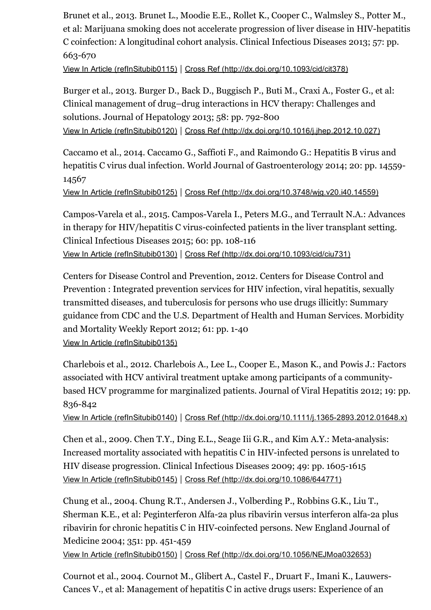Brunet et al., 2013. Brunet L., Moodie E.E., Rollet K., Cooper C., Walmsley S., Potter M., et al: Marijuana smoking does not accelerate progression of liver disease in HIV-hepatitis C coinfection: A longitudinal cohort analysis. Clinical Infectious Diseases 2013; 57: pp. 663-670

View In Article [\(refInSitubib0115\)](https://www-clinicalkey-com-au.ezp.lib.unimelb.edu.au/refInSitubib0115) | Cross Ref [\(http://dx.doi.org/10.1093/cid/cit378\)](http://dx.doi.org/10.1093/cid/cit378)

Burger et al., 2013. Burger D., Back D., Buggisch P., Buti M., Craxi A., Foster G., et al: Clinical management of drug–drug interactions in HCV therapy: Challenges and solutions. Journal of Hepatology 2013;  $58:$  pp. 792-800 View In Article [\(refInSitubib0120\)](https://www-clinicalkey-com-au.ezp.lib.unimelb.edu.au/refInSitubib0120) | Cross Ref [\(http://dx.doi.org/10.1016/j.jhep.2012.10.027\)](http://dx.doi.org/10.1016/j.jhep.2012.10.027)

Caccamo et al., 2014. Caccamo G., Saffioti F., and Raimondo G.: Hepatitis B virus and hepatitis C virus dual infection. World Journal of Gastroenterology 2014; 20: pp. 14559 14567

View In Article [\(refInSitubib0125\)](https://www-clinicalkey-com-au.ezp.lib.unimelb.edu.au/refInSitubib0125) | Cross Ref [\(http://dx.doi.org/10.3748/wjg.v20.i40.14559\)](http://dx.doi.org/10.3748/wjg.v20.i40.14559)

Campos-Varela et al., 2015. Campos-Varela I., Peters M.G., and Terrault N.A.: Advances in therapy for HIV/hepatitis C virus-coinfected patients in the liver transplant setting. Clinical Infectious Diseases 2015; 60: pp. 108-116 View In Article [\(refInSitubib0130\)](https://www-clinicalkey-com-au.ezp.lib.unimelb.edu.au/refInSitubib0130) | Cross Ref [\(http://dx.doi.org/10.1093/cid/ciu731\)](http://dx.doi.org/10.1093/cid/ciu731)

Centers for Disease Control and Prevention, 2012. Centers for Disease Control and Prevention : Integrated prevention services for HIV infection, viral hepatitis, sexually transmitted diseases, and tuberculosis for persons who use drugs illicitly: Summary guidance from CDC and the U.S. Department of Health and Human Services. Morbidity and Mortality Weekly Report 2012; 61: pp. 1-40 View In Article [\(refInSitubib0135\)](https://www-clinicalkey-com-au.ezp.lib.unimelb.edu.au/refInSitubib0135)

Charlebois et al., 2012. Charlebois A., Lee L., Cooper E., Mason K., and Powis J.: Factors associated with HCV antiviral treatment uptake among participants of a communitybased HCV programme for marginalized patients. Journal of Viral Hepatitis 2012; 19: pp. 836-842

View In Article [\(refInSitubib0140\)](https://www-clinicalkey-com-au.ezp.lib.unimelb.edu.au/refInSitubib0140) | Cross Ref [\(http://dx.doi.org/10.1111/j.13652893.2012.01648.x\)](http://dx.doi.org/10.1111/j.1365-2893.2012.01648.x)

Chen et al., 2009. Chen T.Y., Ding E.L., Seage Iii G.R., and Kim A.Y.: Meta-analysis: Increased mortality associated with hepatitis  $C$  in HIV-infected persons is unrelated to HIV disease progression. Clinical Infectious Diseases 2009; 49: pp. 1605-1615 View In Article [\(refInSitubib0145\)](https://www-clinicalkey-com-au.ezp.lib.unimelb.edu.au/refInSitubib0145) | Cross Ref [\(http://dx.doi.org/10.1086/644771\)](http://dx.doi.org/10.1086/644771)

Chung et al., 2004. Chung R.T., Andersen J., Volberding P., Robbins G.K., Liu T., Sherman K.E., et al: Peginterferon Alfa-2a plus ribavirin versus interferon alfa-2a plus ribavirin for chronic hepatitis C in HIV-coinfected persons. New England Journal of Medicine 2004; 351: pp. 451-459

View In Article [\(refInSitubib0150\)](https://www-clinicalkey-com-au.ezp.lib.unimelb.edu.au/refInSitubib0150) | Cross Ref [\(http://dx.doi.org/10.1056/NEJMoa032653\)](http://dx.doi.org/10.1056/NEJMoa032653)

Cournot et al., 2004. Cournot M., Glibert A., Castel F., Druart F., Imani K., Lauwers-Cances V., et al: Management of hepatitis C in active drugs users: Experience of an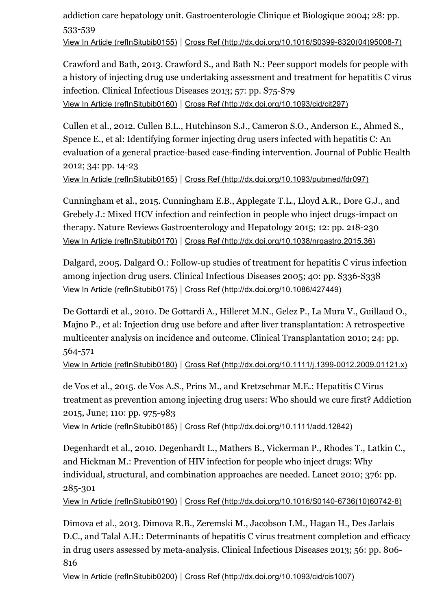#### addiction care hepatology unit. Gastroenterologie Clinique et Biologique 2004; 28: pp. 533-539 View In Article [\(refInSitubib0155\)](https://www-clinicalkey-com-au.ezp.lib.unimelb.edu.au/refInSitubib0155) | Cross Ref (http://dx.doi.org/10.1016/S0399-8320(04)95008-7)

Crawford and Bath, 2013. Crawford S., and Bath N.: Peer support models for people with a history of injecting drug use undertaking assessment and treatment for hepatitis C virus infection. Clinical Infectious Diseases 2013; 57: pp. S75-S79 View In Article [\(refInSitubib0160\)](https://www-clinicalkey-com-au.ezp.lib.unimelb.edu.au/refInSitubib0160) | Cross Ref [\(http://dx.doi.org/10.1093/cid/cit297\)](http://dx.doi.org/10.1093/cid/cit297)

Cullen et al., 2012. Cullen B.L., Hutchinson S.J., Cameron S.O., Anderson E., Ahmed S., Spence E., et al: Identifying former injecting drug users infected with hepatitis C: An evaluation of a general practice-based case-finding intervention. Journal of Public Health 2012; 34: pp. 14-23

View In Article [\(refInSitubib0165\)](https://www-clinicalkey-com-au.ezp.lib.unimelb.edu.au/refInSitubib0165) | Cross Ref [\(http://dx.doi.org/10.1093/pubmed/fdr097\)](http://dx.doi.org/10.1093/pubmed/fdr097)

Cunningham et al., 2015. Cunningham E.B., Applegate T.L., Lloyd A.R., Dore G.J., and Grebely J.: Mixed HCV infection and reinfection in people who inject drugs-impact on therapy. Nature Reviews Gastroenterology and Hepatology 2015; 12: pp. 218-230 View In Article [\(refInSitubib0170\)](https://www-clinicalkey-com-au.ezp.lib.unimelb.edu.au/refInSitubib0170) | Cross Ref [\(http://dx.doi.org/10.1038/nrgastro.2015.36\)](http://dx.doi.org/10.1038/nrgastro.2015.36)

Dalgard, 2005. Dalgard O.: Follow-up studies of treatment for hepatitis C virus infection among injection drug users. Clinical Infectious Diseases 2005; 40: pp. S336-S338 View In Article [\(refInSitubib0175\)](https://www-clinicalkey-com-au.ezp.lib.unimelb.edu.au/refInSitubib0175) | Cross Ref [\(http://dx.doi.org/10.1086/427449\)](http://dx.doi.org/10.1086/427449)

De Gottardi et al., 2010. De Gottardi A., Hilleret M.N., Gelez P., La Mura V., Guillaud O., Majno P., et al: Injection drug use before and after liver transplantation: A retrospective multicenter analysis on incidence and outcome. Clinical Transplantation 2010; 24: pp. 564-571

View In Article [\(refInSitubib0180\)](https://www-clinicalkey-com-au.ezp.lib.unimelb.edu.au/refInSitubib0180) | Cross Ref [\(http://dx.doi.org/10.1111/j.13990012.2009.01121.x\)](http://dx.doi.org/10.1111/j.1399-0012.2009.01121.x)

de Vos et al., 2015. de Vos A.S., Prins M., and Kretzschmar M.E.: Hepatitis C Virus treatment as prevention among injecting drug users: Who should we cure first? Addiction 2015, June; 110: pp. 975-983

View In Article [\(refInSitubib0185\)](https://www-clinicalkey-com-au.ezp.lib.unimelb.edu.au/refInSitubib0185) | Cross Ref [\(http://dx.doi.org/10.1111/add.12842\)](http://dx.doi.org/10.1111/add.12842)

Degenhardt et al., 2010. Degenhardt L., Mathers B., Vickerman P., Rhodes T., Latkin C., and Hickman M.: Prevention of HIV infection for people who inject drugs: Why individual, structural, and combination approaches are needed. Lancet 2010; 376: pp. 285-301

View In Article [\(refInSitubib0190\)](https://www-clinicalkey-com-au.ezp.lib.unimelb.edu.au/refInSitubib0190) | Cross Ref (http://dx.doi.org/10.1016/S0140-6736(10)60742-8)

Dimova et al., 2013. Dimova R.B., Zeremski M., Jacobson I.M., Hagan H., Des Jarlais D.C., and Talal A.H.: Determinants of hepatitis C virus treatment completion and efficacy in drug users assessed by meta-analysis. Clinical Infectious Diseases 2013; 56: pp. 806-816

View In Article [\(refInSitubib0200\)](https://www-clinicalkey-com-au.ezp.lib.unimelb.edu.au/refInSitubib0200) | Cross Ref [\(http://dx.doi.org/10.1093/cid/cis1007\)](http://dx.doi.org/10.1093/cid/cis1007)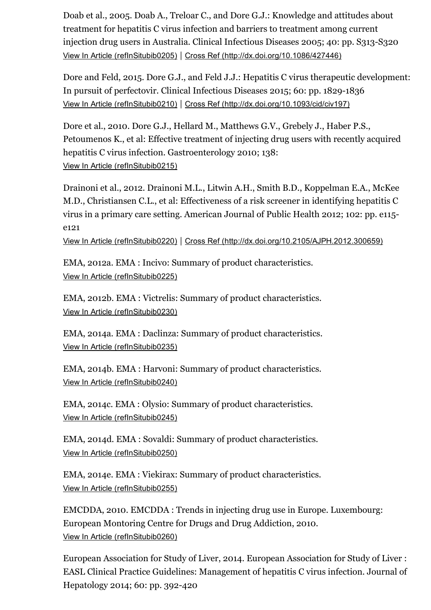Doab et al., 2005. Doab A., Treloar C., and Dore G.J.: Knowledge and attitudes about treatment for hepatitis C virus infection and barriers to treatment among current injection drug users in Australia. Clinical Infectious Diseases 2005; 40: pp. S313-S320 View In Article [\(refInSitubib0205\)](https://www-clinicalkey-com-au.ezp.lib.unimelb.edu.au/refInSitubib0205) | Cross Ref [\(http://dx.doi.org/10.1086/427446\)](http://dx.doi.org/10.1086/427446)

Dore and Feld, 2015. Dore G.J., and Feld J.J.: Hepatitis C virus therapeutic development: In pursuit of perfectovir. Clinical Infectious Diseases 2015; 60: pp. 1829-1836 View In Article [\(refInSitubib0210\)](https://www-clinicalkey-com-au.ezp.lib.unimelb.edu.au/refInSitubib0210) | Cross Ref [\(http://dx.doi.org/10.1093/cid/civ197\)](http://dx.doi.org/10.1093/cid/civ197)

Dore et al., 2010. Dore G.J., Hellard M., Matthews G.V., Grebely J., Haber P.S., Petoumenos K., et al: Effective treatment of injecting drug users with recently acquired hepatitis C virus infection. Gastroenterology 2010; 138: View In Article [\(refInSitubib0215\)](https://www-clinicalkey-com-au.ezp.lib.unimelb.edu.au/refInSitubib0215)

Drainoni et al., 2012. Drainoni M.L., Litwin A.H., Smith B.D., Koppelman E.A., McKee M.D., Christiansen C.L., et al: Effectiveness of a risk screener in identifying hepatitis C virus in a primary care setting. American Journal of Public Health 2012; 102: pp. e115 e121

View In Article [\(refInSitubib0220\)](https://www-clinicalkey-com-au.ezp.lib.unimelb.edu.au/refInSitubib0220) | Cross Ref [\(http://dx.doi.org/10.2105/AJPH.2012.300659\)](http://dx.doi.org/10.2105/AJPH.2012.300659)

EMA, 2012a. EMA : Incivo: Summary of product characteristics. View In Article [\(refInSitubib0225\)](https://www-clinicalkey-com-au.ezp.lib.unimelb.edu.au/refInSitubib0225)

EMA, 2012b. EMA : Victrelis: Summary of product characteristics. View In Article [\(refInSitubib0230\)](https://www-clinicalkey-com-au.ezp.lib.unimelb.edu.au/refInSitubib0230)

EMA, 2014a. EMA : Daclinza: Summary of product characteristics. View In Article [\(refInSitubib0235\)](https://www-clinicalkey-com-au.ezp.lib.unimelb.edu.au/refInSitubib0235)

EMA, 2014b. EMA : Harvoni: Summary of product characteristics. View In Article [\(refInSitubib0240\)](https://www-clinicalkey-com-au.ezp.lib.unimelb.edu.au/refInSitubib0240)

EMA, 2014c. EMA : Olysio: Summary of product characteristics. View In Article [\(refInSitubib0245\)](https://www-clinicalkey-com-au.ezp.lib.unimelb.edu.au/refInSitubib0245)

EMA, 2014d. EMA : Sovaldi: Summary of product characteristics. View In Article [\(refInSitubib0250\)](https://www-clinicalkey-com-au.ezp.lib.unimelb.edu.au/refInSitubib0250)

EMA, 2014e. EMA : Viekirax: Summary of product characteristics. View In Article [\(refInSitubib0255\)](https://www-clinicalkey-com-au.ezp.lib.unimelb.edu.au/refInSitubib0255)

EMCDDA, 2010. EMCDDA : Trends in injecting drug use in Europe. Luxembourg: European Montoring Centre for Drugs and Drug Addiction, 2010. View In Article [\(refInSitubib0260\)](https://www-clinicalkey-com-au.ezp.lib.unimelb.edu.au/refInSitubib0260)

European Association for Study of Liver, 2014. European Association for Study of Liver : EASL Clinical Practice Guidelines: Management of hepatitis C virus infection. Journal of Hepatology 2014; 60: pp. 392-420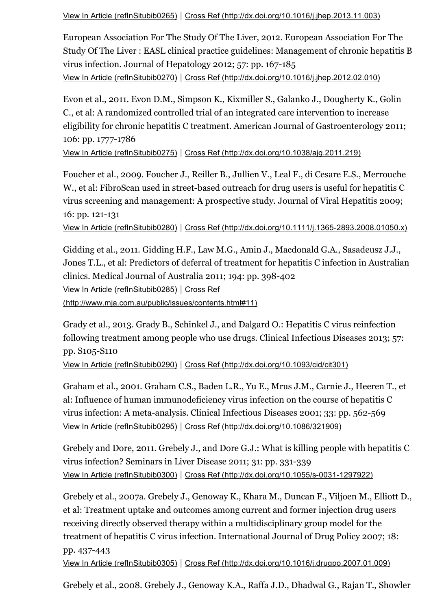View In Article [\(refInSitubib0265\)](https://www-clinicalkey-com-au.ezp.lib.unimelb.edu.au/refInSitubib0265) | Cross Ref [\(http://dx.doi.org/10.1016/j.jhep.2013.11.003\)](http://dx.doi.org/10.1016/j.jhep.2013.11.003)

European Association For The Study Of The Liver, 2012. European Association For The Study Of The Liver : EASL clinical practice guidelines: Management of chronic hepatitis B virus infection. Journal of Hepatology 2012; 57: pp. 167-185 View In Article [\(refInSitubib0270\)](https://www-clinicalkey-com-au.ezp.lib.unimelb.edu.au/refInSitubib0270) | Cross Ref [\(http://dx.doi.org/10.1016/j.jhep.2012.02.010\)](http://dx.doi.org/10.1016/j.jhep.2012.02.010)

Evon et al., 2011. Evon D.M., Simpson K., Kixmiller S., Galanko J., Dougherty K., Golin C., et al: A randomized controlled trial of an integrated care intervention to increase eligibility for chronic hepatitis C treatment. American Journal of Gastroenterology 2011; 106: pp. 1777-1786

View In Article [\(refInSitubib0275\)](https://www-clinicalkey-com-au.ezp.lib.unimelb.edu.au/refInSitubib0275) | Cross Ref [\(http://dx.doi.org/10.1038/ajg.2011.219\)](http://dx.doi.org/10.1038/ajg.2011.219)

Foucher et al., 2009. Foucher J., Reiller B., Jullien V., Leal F., di Cesare E.S., Merrouche W., et al: FibroScan used in street-based outreach for drug users is useful for hepatitis C virus screening and management: A prospective study. Journal of Viral Hepatitis 2009; 16: pp. 121-131

View In Article [\(refInSitubib0280\)](https://www-clinicalkey-com-au.ezp.lib.unimelb.edu.au/refInSitubib0280) | Cross Ref [\(http://dx.doi.org/10.1111/j.13652893.2008.01050.x\)](http://dx.doi.org/10.1111/j.1365-2893.2008.01050.x)

Gidding et al., 2011. Gidding H.F., Law M.G., Amin J., Macdonald G.A., Sasadeusz J.J., Jones T.L., et al: Predictors of deferral of treatment for hepatitis C infection in Australian clinics. Medical Journal of Australia 2011; 194: pp. 398-402 View In Article [\(refInSitubib0285\)](https://www-clinicalkey-com-au.ezp.lib.unimelb.edu.au/refInSitubib0285) | Cross Ref [\(http://www.mja.com.au/public/issues/contents.html#11\)](http://www.mja.com.au/public/issues/contents.html#11)

Grady et al., 2013. Grady B., Schinkel J., and Dalgard O.: Hepatitis C virus reinfection following treatment among people who use drugs. Clinical Infectious Diseases 2013; 57: pp. S105-S110

View In Article [\(refInSitubib0290\)](https://www-clinicalkey-com-au.ezp.lib.unimelb.edu.au/refInSitubib0290) | Cross Ref [\(http://dx.doi.org/10.1093/cid/cit301\)](http://dx.doi.org/10.1093/cid/cit301)

Graham et al., 2001. Graham C.S., Baden L.R., Yu E., Mrus J.M., Carnie J., Heeren T., et al: Influence of human immunodeficiency virus infection on the course of hepatitis C virus infection: A meta-analysis. Clinical Infectious Diseases 2001; 33: pp. 562-569 View In Article [\(refInSitubib0295\)](https://www-clinicalkey-com-au.ezp.lib.unimelb.edu.au/refInSitubib0295) | Cross Ref [\(http://dx.doi.org/10.1086/321909\)](http://dx.doi.org/10.1086/321909)

Grebely and Dore, 2011. Grebely J., and Dore G.J.: What is killing people with hepatitis C virus infection? Seminars in Liver Disease 2011; 31: pp. 331-339 View In Article [\(refInSitubib0300\)](https://www-clinicalkey-com-au.ezp.lib.unimelb.edu.au/refInSitubib0300) | Cross Ref (http://dx.doi.org/10.1055/s-0031-1297922)

Grebely et al., 2007a. Grebely J., Genoway K., Khara M., Duncan F., Viljoen M., Elliott D., et al: Treatment uptake and outcomes among current and former injection drug users receiving directly observed therapy within a multidisciplinary group model for the treatment of hepatitis C virus infection. International Journal of Drug Policy 2007; 18: pp. 437-443

View In Article [\(refInSitubib0305\)](https://www-clinicalkey-com-au.ezp.lib.unimelb.edu.au/refInSitubib0305) | Cross Ref [\(http://dx.doi.org/10.1016/j.drugpo.2007.01.009\)](http://dx.doi.org/10.1016/j.drugpo.2007.01.009)

Grebely et al., 2008. Grebely J., Genoway K.A., Raffa J.D., Dhadwal G., Rajan T., Showler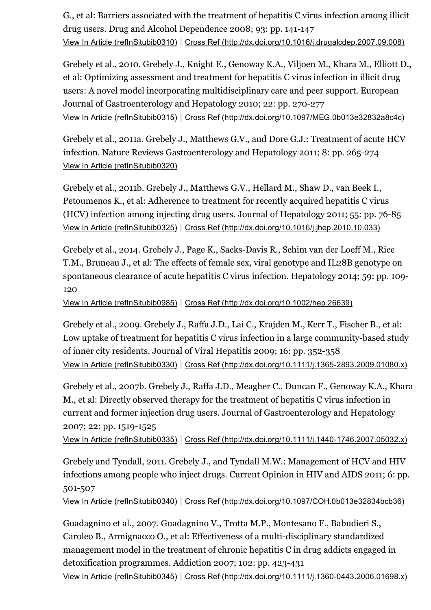G., et al: Barriers associated with the treatment of hepatitis C virus infection among illicit drug users. Drug and Alcohol Dependence 2008; 93: pp. 141-147 View In Article [\(refInSitubib0310\)](https://www-clinicalkey-com-au.ezp.lib.unimelb.edu.au/refInSitubib0310) | Cross Ref [\(http://dx.doi.org/10.1016/j.drugalcdep.2007.09.008\)](http://dx.doi.org/10.1016/j.drugalcdep.2007.09.008)

Grebely et al., 2010. Grebely J., Knight E., Genoway K.A., Viljoen M., Khara M., Elliott D., et al: Optimizing assessment and treatment for hepatitis C virus infection in illicit drug users: A novel model incorporating multidisciplinary care and peer support. European Journal of Gastroenterology and Hepatology 2010; 22: pp. 270-277 View In Article [\(refInSitubib0315\)](https://www-clinicalkey-com-au.ezp.lib.unimelb.edu.au/refInSitubib0315) | Cross Ref [\(http://dx.doi.org/10.1097/MEG.0b013e32832a8c4c\)](http://dx.doi.org/10.1097/MEG.0b013e32832a8c4c)

Grebely et al., 2011a. Grebely J., Matthews G.V., and Dore G.J.: Treatment of acute HCV infection. Nature Reviews Gastroenterology and Hepatology 2011; 8: pp. 265-274 View In Article [\(refInSitubib0320\)](https://www-clinicalkey-com-au.ezp.lib.unimelb.edu.au/refInSitubib0320)

Grebely et al., 2011b. Grebely J., Matthews G.V., Hellard M., Shaw D., van Beek I., Petoumenos K., et al: Adherence to treatment for recently acquired hepatitis C virus (HCV) infection among injecting drug users. Journal of Hepatology 2011; 55: pp.  $76-85$ View In Article [\(refInSitubib0325\)](https://www-clinicalkey-com-au.ezp.lib.unimelb.edu.au/refInSitubib0325) | Cross Ref [\(http://dx.doi.org/10.1016/j.jhep.2010.10.033\)](http://dx.doi.org/10.1016/j.jhep.2010.10.033)

Grebely et al., 2014. Grebely J., Page K., Sacks-Davis R., Schim van der Loeff M., Rice T.M., Bruneau J., et al: The effects of female sex, viral genotype and IL28B genotype on spontaneous clearance of acute hepatitis C virus infection. Hepatology 2014; 59: pp. 109 120

View In Article [\(refInSitubib0985\)](https://www-clinicalkey-com-au.ezp.lib.unimelb.edu.au/refInSitubib0985) | Cross Ref [\(http://dx.doi.org/10.1002/hep.26639\)](http://dx.doi.org/10.1002/hep.26639)

Grebely et al., 2009. Grebely J., Raffa J.D., Lai C., Krajden M., Kerr T., Fischer B., et al: Low uptake of treatment for hepatitis C virus infection in a large community-based study of inner city residents. Journal of Viral Hepatitis 2009; 16: pp. 352-358 View In Article [\(refInSitubib0330\)](https://www-clinicalkey-com-au.ezp.lib.unimelb.edu.au/refInSitubib0330) | Cross Ref [\(http://dx.doi.org/10.1111/j.13652893.2009.01080.x\)](http://dx.doi.org/10.1111/j.1365-2893.2009.01080.x)

Grebely et al., 2007b. Grebely J., Raffa J.D., Meagher C., Duncan F., Genoway K.A., Khara M., et al: Directly observed therapy for the treatment of hepatitis C virus infection in current and former injection drug users. Journal of Gastroenterology and Hepatology 2007; 22: pp. 1519-1525

View In Article [\(refInSitubib0335\)](https://www-clinicalkey-com-au.ezp.lib.unimelb.edu.au/refInSitubib0335) | Cross Ref (http://dx.doi.org/10.1111/j.1440-1746.2007.05032.x)

Grebely and Tyndall, 2011. Grebely J., and Tyndall M.W.: Management of HCV and HIV infections among people who inject drugs. Current Opinion in HIV and AIDS 2011; 6: pp. 501-507

View In Article [\(refInSitubib0340\)](https://www-clinicalkey-com-au.ezp.lib.unimelb.edu.au/refInSitubib0340) | Cross Ref [\(http://dx.doi.org/10.1097/COH.0b013e32834bcb36\)](http://dx.doi.org/10.1097/COH.0b013e32834bcb36)

Guadagnino et al., 2007. Guadagnino V., Trotta M.P., Montesano F., Babudieri S., Caroleo B., Armignacco O., et al: Effectiveness of a multi-disciplinary standardized management model in the treatment of chronic hepatitis C in drug addicts engaged in detoxification programmes. Addiction 2007; 102: pp. 423-431 View In Article [\(refInSitubib0345\)](https://www-clinicalkey-com-au.ezp.lib.unimelb.edu.au/refInSitubib0345) | Cross Ref (http://dx.doi.org/10.1111/j.1360-0443.2006.01698.x)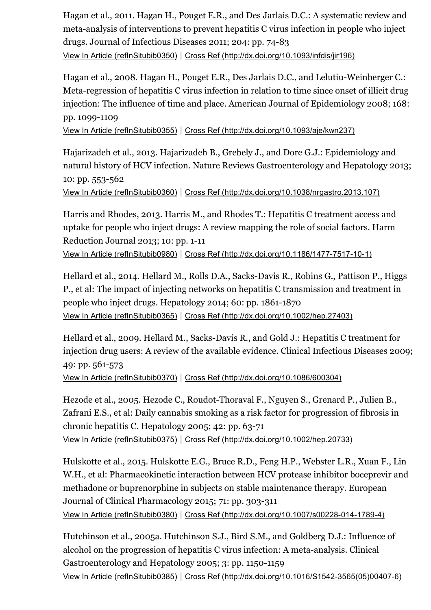Hagan et al., 2011. Hagan H., Pouget E.R., and Des Jarlais D.C.: A systematic review and meta-analysis of interventions to prevent hepatitis C virus infection in people who inject drugs. Journal of Infectious Diseases 2011; 204: pp. 74-83 View In Article [\(refInSitubib0350\)](https://www-clinicalkey-com-au.ezp.lib.unimelb.edu.au/refInSitubib0350) | Cross Ref [\(http://dx.doi.org/10.1093/infdis/jir196\)](http://dx.doi.org/10.1093/infdis/jir196)

Hagan et al., 2008. Hagan H., Pouget E.R., Des Jarlais D.C., and Lelutiu-Weinberger C.: Meta-regression of hepatitis C virus infection in relation to time since onset of illicit drug injection: The influence of time and place. American Journal of Epidemiology 2008; 168: pp. 1099-1109

View In Article [\(refInSitubib0355\)](https://www-clinicalkey-com-au.ezp.lib.unimelb.edu.au/refInSitubib0355) | Cross Ref [\(http://dx.doi.org/10.1093/aje/kwn237\)](http://dx.doi.org/10.1093/aje/kwn237)

Hajarizadeh et al., 2013. Hajarizadeh B., Grebely J., and Dore G.J.: Epidemiology and natural history of HCV infection. Nature Reviews Gastroenterology and Hepatology 2013; 10: pp. 553-562

View In Article [\(refInSitubib0360\)](https://www-clinicalkey-com-au.ezp.lib.unimelb.edu.au/refInSitubib0360) | Cross Ref [\(http://dx.doi.org/10.1038/nrgastro.2013.107\)](http://dx.doi.org/10.1038/nrgastro.2013.107)

Harris and Rhodes, 2013. Harris M., and Rhodes T.: Hepatitis C treatment access and uptake for people who inject drugs: A review mapping the role of social factors. Harm Reduction Journal 2013; 10: pp. 1-11

View In Article [\(refInSitubib0980\)](https://www-clinicalkey-com-au.ezp.lib.unimelb.edu.au/refInSitubib0980) | Cross Ref (http://dx.doi.org/10.1186/1477-7517-10-1)

Hellard et al., 2014. Hellard M., Rolls D.A., Sacks-Davis R., Robins G., Pattison P., Higgs P., et al: The impact of injecting networks on hepatitis C transmission and treatment in people who inject drugs. Hepatology 2014; 60: pp. 1861-1870 View In Article [\(refInSitubib0365\)](https://www-clinicalkey-com-au.ezp.lib.unimelb.edu.au/refInSitubib0365) | Cross Ref [\(http://dx.doi.org/10.1002/hep.27403\)](http://dx.doi.org/10.1002/hep.27403)

Hellard et al., 2009. Hellard M., Sacks-Davis R., and Gold J.: Hepatitis C treatment for injection drug users: A review of the available evidence. Clinical Infectious Diseases 2009; 49: pp. 561-573

View In Article [\(refInSitubib0370\)](https://www-clinicalkey-com-au.ezp.lib.unimelb.edu.au/refInSitubib0370) | Cross Ref [\(http://dx.doi.org/10.1086/600304\)](http://dx.doi.org/10.1086/600304)

Hezode et al., 2005. Hezode C., Roudot-Thoraval F., Nguyen S., Grenard P., Julien B., Zafrani E.S., et al: Daily cannabis smoking as a risk factor for progression of fibrosis in chronic hepatitis C. Hepatology 2005; 42: pp.  $63-71$ View In Article [\(refInSitubib0375\)](https://www-clinicalkey-com-au.ezp.lib.unimelb.edu.au/refInSitubib0375) | Cross Ref [\(http://dx.doi.org/10.1002/hep.20733\)](http://dx.doi.org/10.1002/hep.20733)

Hulskotte et al., 2015. Hulskotte E.G., Bruce R.D., Feng H.P., Webster L.R., Xuan F., Lin W.H., et al: Pharmacokinetic interaction between HCV protease inhibitor boceprevir and methadone or buprenorphine in subjects on stable maintenance therapy. European Journal of Clinical Pharmacology 2015; 71: pp. 303-311 View In Article [\(refInSitubib0380\)](https://www-clinicalkey-com-au.ezp.lib.unimelb.edu.au/refInSitubib0380) | Cross Ref (http://dx.doi.org/10.1007/s00228-014-1789-4)

Hutchinson et al., 2005a. Hutchinson S.J., Bird S.M., and Goldberg D.J.: Influence of alcohol on the progression of hepatitis C virus infection: A meta-analysis. Clinical Gastroenterology and Hepatology 2005; 3: pp. 1150-1159 View In Article [\(refInSitubib0385\)](https://www-clinicalkey-com-au.ezp.lib.unimelb.edu.au/refInSitubib0385) | Cross Ref (http://dx.doi.org/10.1016/S1542-3565(05)00407-6)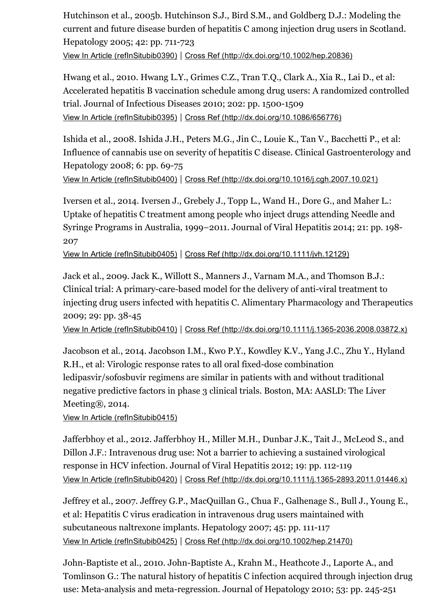Hutchinson et al., 2005b. Hutchinson S.J., Bird S.M., and Goldberg D.J.: Modeling the current and future disease burden of hepatitis C among injection drug users in Scotland. Hepatology 2005; 42: pp. 711-723

View In Article [\(refInSitubib0390\)](https://www-clinicalkey-com-au.ezp.lib.unimelb.edu.au/refInSitubib0390) | Cross Ref [\(http://dx.doi.org/10.1002/hep.20836\)](http://dx.doi.org/10.1002/hep.20836)

Hwang et al., 2010. Hwang L.Y., Grimes C.Z., Tran T.Q., Clark A., Xia R., Lai D., et al: Accelerated hepatitis B vaccination schedule among drug users: A randomized controlled trial. Journal of Infectious Diseases 2010; 202: pp. 1500-1509 View In Article [\(refInSitubib0395\)](https://www-clinicalkey-com-au.ezp.lib.unimelb.edu.au/refInSitubib0395) | Cross Ref [\(http://dx.doi.org/10.1086/656776\)](http://dx.doi.org/10.1086/656776)

Ishida et al., 2008. Ishida J.H., Peters M.G., Jin C., Louie K., Tan V., Bacchetti P., et al: Influence of cannabis use on severity of hepatitis C disease. Clinical Gastroenterology and Hepatology 2008; 6: pp. 69-75

View In Article [\(refInSitubib0400\)](https://www-clinicalkey-com-au.ezp.lib.unimelb.edu.au/refInSitubib0400) | Cross Ref [\(http://dx.doi.org/10.1016/j.cgh.2007.10.021\)](http://dx.doi.org/10.1016/j.cgh.2007.10.021)

Iversen et al., 2014. Iversen J., Grebely J., Topp L., Wand H., Dore G., and Maher L.: Uptake of hepatitis C treatment among people who inject drugs attending Needle and Syringe Programs in Australia, 1999–2011. Journal of Viral Hepatitis 2014; 21: pp. 198 207

View In Article [\(refInSitubib0405\)](https://www-clinicalkey-com-au.ezp.lib.unimelb.edu.au/refInSitubib0405) | Cross Ref [\(http://dx.doi.org/10.1111/jvh.12129\)](http://dx.doi.org/10.1111/jvh.12129)

Jack et al., 2009. Jack K., Willott S., Manners J., Varnam M.A., and Thomson B.J.: Clinical trial: A primary-care-based model for the delivery of anti-viral treatment to injecting drug users infected with hepatitis C. Alimentary Pharmacology and Therapeutics 2009; 29: pp. 38-45

View In Article [\(refInSitubib0410\)](https://www-clinicalkey-com-au.ezp.lib.unimelb.edu.au/refInSitubib0410) | Cross Ref [\(http://dx.doi.org/10.1111/j.13652036.2008.03872.x\)](http://dx.doi.org/10.1111/j.1365-2036.2008.03872.x)

Jacobson et al., 2014. Jacobson I.M., Kwo P.Y., Kowdley K.V., Yang J.C., Zhu Y., Hyland R.H., et al: Virologic response rates to all oral fixed-dose combination ledipasvir/sofosbuvir regimens are similar in patients with and without traditional negative predictive factors in phase 3 clinical trials. Boston, MA: AASLD: The Liver Meeting®, 2014.

View In Article [\(refInSitubib0415\)](https://www-clinicalkey-com-au.ezp.lib.unimelb.edu.au/refInSitubib0415)

Jafferbhoy et al., 2012. Jafferbhoy H., Miller M.H., Dunbar J.K., Tait J., McLeod S., and Dillon J.F.: Intravenous drug use: Not a barrier to achieving a sustained virological response in HCV infection. Journal of Viral Hepatitis 2012; 19: pp. 112-119 View In Article [\(refInSitubib0420\)](https://www-clinicalkey-com-au.ezp.lib.unimelb.edu.au/refInSitubib0420) | Cross Ref [\(http://dx.doi.org/10.1111/j.13652893.2011.01446.x\)](http://dx.doi.org/10.1111/j.1365-2893.2011.01446.x)

Jeffrey et al., 2007. Jeffrey G.P., MacQuillan G., Chua F., Galhenage S., Bull J., Young E., et al: Hepatitis C virus eradication in intravenous drug users maintained with subcutaneous naltrexone implants. Hepatology 2007; 45: pp. 111-117 View In Article [\(refInSitubib0425\)](https://www-clinicalkey-com-au.ezp.lib.unimelb.edu.au/refInSitubib0425) | Cross Ref [\(http://dx.doi.org/10.1002/hep.21470\)](http://dx.doi.org/10.1002/hep.21470)

John-Baptiste et al., 2010. John-Baptiste A., Krahn M., Heathcote J., Laporte A., and Tomlinson G.: The natural history of hepatitis C infection acquired through injection drug use: Meta-analysis and meta-regression. Journal of Hepatology 2010; 53: pp. 245-251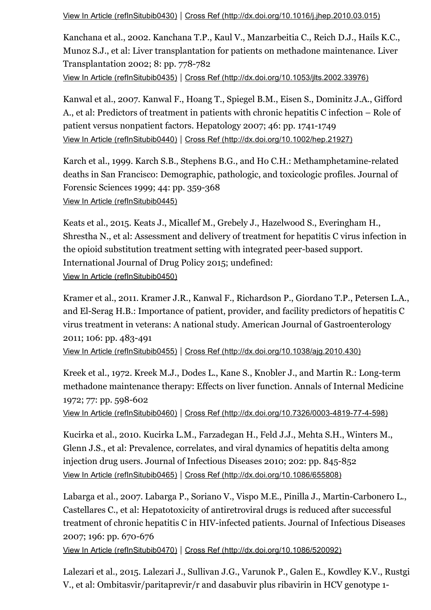View In Article [\(refInSitubib0430\)](https://www-clinicalkey-com-au.ezp.lib.unimelb.edu.au/refInSitubib0430) | Cross Ref [\(http://dx.doi.org/10.1016/j.jhep.2010.03.015\)](http://dx.doi.org/10.1016/j.jhep.2010.03.015)

Kanchana et al., 2002. Kanchana T.P., Kaul V., Manzarbeitia C., Reich D.J., Hails K.C., Munoz S.J., et al: Liver transplantation for patients on methadone maintenance. Liver Transplantation 2002; 8: pp. 778-782 View In Article [\(refInSitubib0435\)](https://www-clinicalkey-com-au.ezp.lib.unimelb.edu.au/refInSitubib0435) | Cross Ref [\(http://dx.doi.org/10.1053/jlts.2002.33976\)](http://dx.doi.org/10.1053/jlts.2002.33976)

Kanwal et al., 2007. Kanwal F., Hoang T., Spiegel B.M., Eisen S., Dominitz J.A., Gifford A., et al: Predictors of treatment in patients with chronic hepatitis C infection – Role of patient versus nonpatient factors. Hepatology 2007; 46: pp. 1741-1749 View In Article [\(refInSitubib0440\)](https://www-clinicalkey-com-au.ezp.lib.unimelb.edu.au/refInSitubib0440) | Cross Ref [\(http://dx.doi.org/10.1002/hep.21927\)](http://dx.doi.org/10.1002/hep.21927)

Karch et al., 1999. Karch S.B., Stephens B.G., and Ho C.H.: Methamphetamine-related deaths in San Francisco: Demographic, pathologic, and toxicologic profiles. Journal of Forensic Sciences 1999; 44: pp. 359-368 View In Article [\(refInSitubib0445\)](https://www-clinicalkey-com-au.ezp.lib.unimelb.edu.au/refInSitubib0445)

Keats et al., 2015. Keats J., Micallef M., Grebely J., Hazelwood S., Everingham H., Shrestha N., et al: Assessment and delivery of treatment for hepatitis C virus infection in the opioid substitution treatment setting with integrated peer-based support. International Journal of Drug Policy 2015; undefined: View In Article [\(refInSitubib0450\)](https://www-clinicalkey-com-au.ezp.lib.unimelb.edu.au/refInSitubib0450)

Kramer et al., 2011. Kramer J.R., Kanwal F., Richardson P., Giordano T.P., Petersen L.A., and El-Serag H.B.: Importance of patient, provider, and facility predictors of hepatitis C virus treatment in veterans: A national study. American Journal of Gastroenterology 2011; 106: pp. 483-491

View In Article [\(refInSitubib0455\)](https://www-clinicalkey-com-au.ezp.lib.unimelb.edu.au/refInSitubib0455) | Cross Ref [\(http://dx.doi.org/10.1038/ajg.2010.430\)](http://dx.doi.org/10.1038/ajg.2010.430)

Kreek et al., 1972. Kreek M.J., Dodes L., Kane S., Knobler J., and Martin R.: Long-term methadone maintenance therapy: Effects on liver function. Annals of Internal Medicine 1972; 77: pp. 598-602

View In Article [\(refInSitubib0460\)](https://www-clinicalkey-com-au.ezp.lib.unimelb.edu.au/refInSitubib0460) | Cross Ref (http://dx.doi.org/10.7326/0003-4819-77-4-598)

Kucirka et al., 2010. Kucirka L.M., Farzadegan H., Feld J.J., Mehta S.H., Winters M., Glenn J.S., et al: Prevalence, correlates, and viral dynamics of hepatitis delta among injection drug users. Journal of Infectious Diseases 2010; 202: pp. 845-852 View In Article [\(refInSitubib0465\)](https://www-clinicalkey-com-au.ezp.lib.unimelb.edu.au/refInSitubib0465) | Cross Ref [\(http://dx.doi.org/10.1086/655808\)](http://dx.doi.org/10.1086/655808)

Labarga et al., 2007. Labarga P., Soriano V., Vispo M.E., Pinilla J., Martin-Carbonero L., Castellares C., et al: Hepatotoxicity of antiretroviral drugs is reduced after successful treatment of chronic hepatitis C in HIV-infected patients. Journal of Infectious Diseases 2007; 196: pp. 670-676

View In Article [\(refInSitubib0470\)](https://www-clinicalkey-com-au.ezp.lib.unimelb.edu.au/refInSitubib0470) | Cross Ref [\(http://dx.doi.org/10.1086/520092\)](http://dx.doi.org/10.1086/520092)

Lalezari et al., 2015. Lalezari J., Sullivan J.G., Varunok P., Galen E., Kowdley K.V., Rustgi V., et al: Ombitasvir/paritaprevir/r and dasabuvir plus ribavirin in HCV genotype 1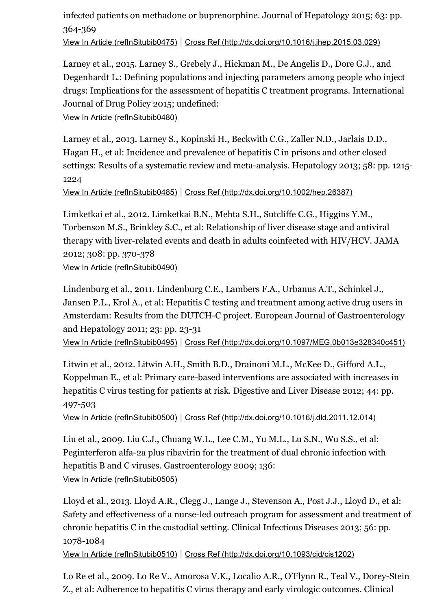#### infected patients on methadone or buprenorphine. Journal of Hepatology 2015; 63: pp. 364-369

View In Article [\(refInSitubib0475\)](https://www-clinicalkey-com-au.ezp.lib.unimelb.edu.au/refInSitubib0475) | Cross Ref [\(http://dx.doi.org/10.1016/j.jhep.2015.03.029\)](http://dx.doi.org/10.1016/j.jhep.2015.03.029)

Larney et al., 2015. Larney S., Grebely J., Hickman M., De Angelis D., Dore G.J., and Degenhardt L.: Defining populations and injecting parameters among people who inject drugs: Implications for the assessment of hepatitis C treatment programs. International Journal of Drug Policy 2015; undefined:

```
View In Article (refInSitubib0480)
```
Larney et al., 2013. Larney S., Kopinski H., Beckwith C.G., Zaller N.D., Jarlais D.D., Hagan H., et al: Incidence and prevalence of hepatitis C in prisons and other closed settings: Results of a systematic review and meta-analysis. Hepatology 2013; 58: pp. 1215-1224

View In Article [\(refInSitubib0485\)](https://www-clinicalkey-com-au.ezp.lib.unimelb.edu.au/refInSitubib0485) | Cross Ref [\(http://dx.doi.org/10.1002/hep.26387\)](http://dx.doi.org/10.1002/hep.26387)

Limketkai et al., 2012. Limketkai B.N., Mehta S.H., Sutcliffe C.G., Higgins Y.M., Torbenson M.S., Brinkley S.C., et al: Relationship of liver disease stage and antiviral therapy with liver-related events and death in adults coinfected with HIV/HCV. JAMA 2012; 308: pp. 370-378 View In Article [\(refInSitubib0490\)](https://www-clinicalkey-com-au.ezp.lib.unimelb.edu.au/refInSitubib0490)

Lindenburg et al., 2011. Lindenburg C.E., Lambers F.A., Urbanus A.T., Schinkel J., Jansen P.L., Krol A., et al: Hepatitis C testing and treatment among active drug users in Amsterdam: Results from the DUTCH-C project. European Journal of Gastroenterology and Hepatology 2011; 23: pp. 23-31 View In Article [\(refInSitubib0495\)](https://www-clinicalkey-com-au.ezp.lib.unimelb.edu.au/refInSitubib0495) | Cross Ref [\(http://dx.doi.org/10.1097/MEG.0b013e328340c451\)](http://dx.doi.org/10.1097/MEG.0b013e328340c451)

Litwin et al., 2012. Litwin A.H., Smith B.D., Drainoni M.L., McKee D., Gifford A.L., Koppelman E., et al: Primary care-based interventions are associated with increases in hepatitis C virus testing for patients at risk. Digestive and Liver Disease 2012; 44: pp. 497-503

View In Article [\(refInSitubib0500\)](https://www-clinicalkey-com-au.ezp.lib.unimelb.edu.au/refInSitubib0500) | Cross Ref [\(http://dx.doi.org/10.1016/j.dld.2011.12.014\)](http://dx.doi.org/10.1016/j.dld.2011.12.014)

Liu et al., 2009. Liu C.J., Chuang W.L., Lee C.M., Yu M.L., Lu S.N., Wu S.S., et al: Peginterferon alfa-2a plus ribavirin for the treatment of dual chronic infection with hepatitis B and C viruses. Gastroenterology 2009; 136: View In Article [\(refInSitubib0505\)](https://www-clinicalkey-com-au.ezp.lib.unimelb.edu.au/refInSitubib0505)

Lloyd et al., 2013. Lloyd A.R., Clegg J., Lange J., Stevenson A., Post J.J., Lloyd D., et al: Safety and effectiveness of a nurse-led outreach program for assessment and treatment of chronic hepatitis C in the custodial setting. Clinical Infectious Diseases 2013; 56: pp. 1078-1084

View In Article [\(refInSitubib0510\)](https://www-clinicalkey-com-au.ezp.lib.unimelb.edu.au/refInSitubib0510) | Cross Ref [\(http://dx.doi.org/10.1093/cid/cis1202\)](http://dx.doi.org/10.1093/cid/cis1202)

Lo Re et al., 2009. Lo Re V., Amorosa V.K., Localio A.R., O'Flynn R., Teal V., Dorey-Stein Z., et al: Adherence to hepatitis C virus therapy and early virologic outcomes. Clinical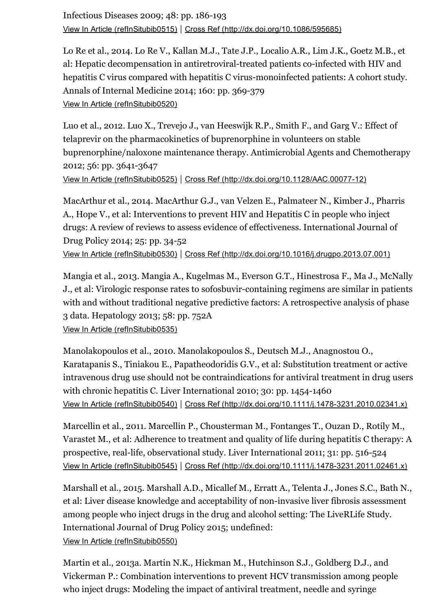Infectious Diseases 2009; 48: pp. 186-193 View In Article [\(refInSitubib0515\)](https://www-clinicalkey-com-au.ezp.lib.unimelb.edu.au/refInSitubib0515) | Cross Ref [\(http://dx.doi.org/10.1086/595685\)](http://dx.doi.org/10.1086/595685)

Lo Re et al., 2014. Lo Re V., Kallan M.J., Tate J.P., Localio A.R., Lim J.K., Goetz M.B., et al: Hepatic decompensation in antiretroviral-treated patients co-infected with HIV and hepatitis C virus compared with hepatitis C virus-monoinfected patients: A cohort study. Annals of Internal Medicine 2014; 160: pp. 369-379 View In Article [\(refInSitubib0520\)](https://www-clinicalkey-com-au.ezp.lib.unimelb.edu.au/refInSitubib0520)

Luo et al., 2012. Luo X., Trevejo J., van Heeswijk R.P., Smith F., and Garg V.: Effect of telaprevir on the pharmacokinetics of buprenorphine in volunteers on stable buprenorphine/naloxone maintenance therapy. Antimicrobial Agents and Chemotherapy 2012; 56: pp. 3641-3647

View In Article [\(refInSitubib0525\)](https://www-clinicalkey-com-au.ezp.lib.unimelb.edu.au/refInSitubib0525) | Cross Ref (http://dx.doi.org/10.1128/AAC.00077-12)

MacArthur et al., 2014. MacArthur G.J., van Velzen E., Palmateer N., Kimber J., Pharris A., Hope V., et al: Interventions to prevent HIV and Hepatitis C in people who inject drugs: A review of reviews to assess evidence of effectiveness. International Journal of Drug Policy 2014; 25: pp. 34-52 View In Article [\(refInSitubib0530\)](https://www-clinicalkey-com-au.ezp.lib.unimelb.edu.au/refInSitubib0530) | Cross Ref [\(http://dx.doi.org/10.1016/j.drugpo.2013.07.001\)](http://dx.doi.org/10.1016/j.drugpo.2013.07.001)

Mangia et al., 2013. Mangia A., Kugelmas M., Everson G.T., Hinestrosa F., Ma J., McNally J., et al: Virologic response rates to sofosbuvir-containing regimens are similar in patients with and without traditional negative predictive factors: A retrospective analysis of phase 3 data. Hepatology 2013; 58: pp. 752A

View In Article [\(refInSitubib0535\)](https://www-clinicalkey-com-au.ezp.lib.unimelb.edu.au/refInSitubib0535)

Manolakopoulos et al., 2010. Manolakopoulos S., Deutsch M.J., Anagnostou O., Karatapanis S., Tiniakou E., Papatheodoridis G.V., et al: Substitution treatment or active intravenous drug use should not be contraindications for antiviral treatment in drug users with chronic hepatitis C. Liver International 2010; 30: pp. 1454-1460 View In Article [\(refInSitubib0540\)](https://www-clinicalkey-com-au.ezp.lib.unimelb.edu.au/refInSitubib0540) | Cross Ref (http://dx.doi.org/10.1111/j.1478-3231.2010.02341.x)

Marcellin et al., 2011. Marcellin P., Chousterman M., Fontanges T., Ouzan D., Rotily M., Varastet M., et al: Adherence to treatment and quality of life during hepatitis C therapy: A prospective, real-life, observational study. Liver International 2011; 31: pp. 516-524 View In Article [\(refInSitubib0545\)](https://www-clinicalkey-com-au.ezp.lib.unimelb.edu.au/refInSitubib0545) | Cross Ref (http://dx.doi.org/10.1111/j.1478-3231.2011.02461.x)

Marshall et al., 2015. Marshall A.D., Micallef M., Erratt A., Telenta J., Jones S.C., Bath N., et al: Liver disease knowledge and acceptability of non-invasive liver fibrosis assessment among people who inject drugs in the drug and alcohol setting: The LiveRLife Study. International Journal of Drug Policy 2015; undefined: View In Article [\(refInSitubib0550\)](https://www-clinicalkey-com-au.ezp.lib.unimelb.edu.au/refInSitubib0550)

Martin et al., 2013a. Martin N.K., Hickman M., Hutchinson S.J., Goldberg D.J., and Vickerman P.: Combination interventions to prevent HCV transmission among people who inject drugs: Modeling the impact of antiviral treatment, needle and syringe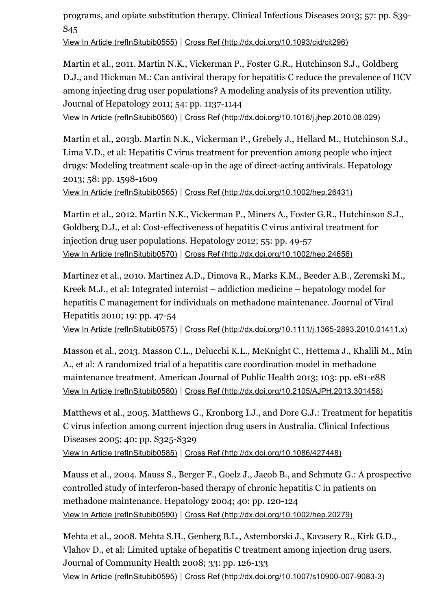programs, and opiate substitution therapy. Clinical Infectious Diseases 2013; 57: pp. S39 S45

View In Article [\(refInSitubib0555\)](https://www-clinicalkey-com-au.ezp.lib.unimelb.edu.au/refInSitubib0555) | Cross Ref [\(http://dx.doi.org/10.1093/cid/cit296\)](http://dx.doi.org/10.1093/cid/cit296)

Martin et al., 2011. Martin N.K., Vickerman P., Foster G.R., Hutchinson S.J., Goldberg D.J., and Hickman M.: Can antiviral therapy for hepatitis C reduce the prevalence of HCV among injecting drug user populations? A modeling analysis of its prevention utility. Journal of Hepatology 2011; 54: pp. 1137-1144 View In Article [\(refInSitubib0560\)](https://www-clinicalkey-com-au.ezp.lib.unimelb.edu.au/refInSitubib0560) | Cross Ref [\(http://dx.doi.org/10.1016/j.jhep.2010.08.029\)](http://dx.doi.org/10.1016/j.jhep.2010.08.029)

Martin et al., 2013b. Martin N.K., Vickerman P., Grebely J., Hellard M., Hutchinson S.J., Lima V.D., et al: Hepatitis C virus treatment for prevention among people who inject drugs: Modeling treatment scale-up in the age of direct-acting antivirals. Hepatology 2013; 58: pp. 1598-1609

View In Article [\(refInSitubib0565\)](https://www-clinicalkey-com-au.ezp.lib.unimelb.edu.au/refInSitubib0565) | Cross Ref [\(http://dx.doi.org/10.1002/hep.26431\)](http://dx.doi.org/10.1002/hep.26431)

Martin et al., 2012. Martin N.K., Vickerman P., Miners A., Foster G.R., Hutchinson S.J., Goldberg D.J., et al: Cost-effectiveness of hepatitis C virus antiviral treatment for injection drug user populations. Hepatology 2012; 55: pp. 49-57 View In Article [\(refInSitubib0570\)](https://www-clinicalkey-com-au.ezp.lib.unimelb.edu.au/refInSitubib0570) | Cross Ref [\(http://dx.doi.org/10.1002/hep.24656\)](http://dx.doi.org/10.1002/hep.24656)

Martinez et al., 2010. Martinez A.D., Dimova R., Marks K.M., Beeder A.B., Zeremski M., Kreek M.J., et al: Integrated internist – addiction medicine – hepatology model for hepatitis C management for individuals on methadone maintenance. Journal of Viral Hepatitis 2010; 19: pp. 47-54

View In Article [\(refInSitubib0575\)](https://www-clinicalkey-com-au.ezp.lib.unimelb.edu.au/refInSitubib0575) | Cross Ref [\(http://dx.doi.org/10.1111/j.13652893.2010.01411.x\)](http://dx.doi.org/10.1111/j.1365-2893.2010.01411.x)

Masson et al., 2013. Masson C.L., Delucchi K.L., McKnight C., Hettema J., Khalili M., Min A., et al: A randomized trial of a hepatitis care coordination model in methadone maintenance treatment. American Journal of Public Health 2013; 103: pp. e81-e88 View In Article [\(refInSitubib0580\)](https://www-clinicalkey-com-au.ezp.lib.unimelb.edu.au/refInSitubib0580) | Cross Ref [\(http://dx.doi.org/10.2105/AJPH.2013.301458\)](http://dx.doi.org/10.2105/AJPH.2013.301458)

Matthews et al., 2005. Matthews G., Kronborg I.J., and Dore G.J.: Treatment for hepatitis C virus infection among current injection drug users in Australia. Clinical Infectious Diseases 2005; 40: pp. S325-S329 View In Article [\(refInSitubib0585\)](https://www-clinicalkey-com-au.ezp.lib.unimelb.edu.au/refInSitubib0585) | Cross Ref [\(http://dx.doi.org/10.1086/427448\)](http://dx.doi.org/10.1086/427448)

Mauss et al., 2004. Mauss S., Berger F., Goelz J., Jacob B., and Schmutz G.: A prospective controlled study of interferon-based therapy of chronic hepatitis C in patients on methadone maintenance. Hepatology 2004; 40: pp. 120-124 View In Article [\(refInSitubib0590\)](https://www-clinicalkey-com-au.ezp.lib.unimelb.edu.au/refInSitubib0590) | Cross Ref [\(http://dx.doi.org/10.1002/hep.20279\)](http://dx.doi.org/10.1002/hep.20279)

Mehta et al., 2008. Mehta S.H., Genberg B.L., Astemborski J., Kavasery R., Kirk G.D., Vlahov D., et al: Limited uptake of hepatitis C treatment among injection drug users. Journal of Community Health 2008; 33: pp. 126-133 View In Article [\(refInSitubib0595\)](https://www-clinicalkey-com-au.ezp.lib.unimelb.edu.au/refInSitubib0595) | Cross Ref (http://dx.doi.org/10.1007/s10900-007-9083-3)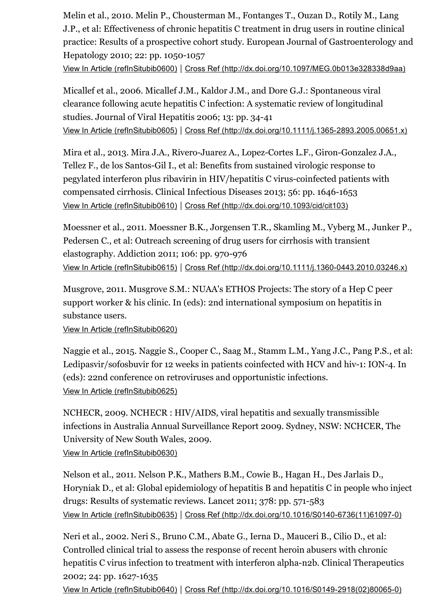Melin et al., 2010. Melin P., Chousterman M., Fontanges T., Ouzan D., Rotily M., Lang J.P., et al: Effectiveness of chronic hepatitis C treatment in drug users in routine clinical practice: Results of a prospective cohort study. European Journal of Gastroenterology and Hepatology 2010; 22: pp. 1050-1057

View In Article [\(refInSitubib0600\)](https://www-clinicalkey-com-au.ezp.lib.unimelb.edu.au/refInSitubib0600) | Cross Ref [\(http://dx.doi.org/10.1097/MEG.0b013e328338d9aa\)](http://dx.doi.org/10.1097/MEG.0b013e328338d9aa)

Micallef et al., 2006. Micallef J.M., Kaldor J.M., and Dore G.J.: Spontaneous viral clearance following acute hepatitis C infection: A systematic review of longitudinal studies. Journal of Viral Hepatitis 2006; 13: pp. 34-41 View In Article [\(refInSitubib0605\)](https://www-clinicalkey-com-au.ezp.lib.unimelb.edu.au/refInSitubib0605) | Cross Ref (http://dx.doi.org/10.1111/j.1365-2893.2005.00651.x)

Mira et al., 2013. Mira J.A., Rivero-Juarez A., Lopez-Cortes L.F., Giron-Gonzalez J.A., Tellez F., de los Santos-Gil I., et al: Benefits from sustained virologic response to pegylated interferon plus ribavirin in HIV/hepatitis C virus-coinfected patients with compensated cirrhosis. Clinical Infectious Diseases 2013; 56: pp. 1646-1653 View In Article [\(refInSitubib0610\)](https://www-clinicalkey-com-au.ezp.lib.unimelb.edu.au/refInSitubib0610) | Cross Ref [\(http://dx.doi.org/10.1093/cid/cit103\)](http://dx.doi.org/10.1093/cid/cit103)

Moessner et al., 2011. Moessner B.K., Jorgensen T.R., Skamling M., Vyberg M., Junker P., Pedersen C., et al: Outreach screening of drug users for cirrhosis with transient elastography. Addiction 2011; 106: pp. 970-976 View In Article [\(refInSitubib0615\)](https://www-clinicalkey-com-au.ezp.lib.unimelb.edu.au/refInSitubib0615) | Cross Ref (http://dx.doi.org/10.1111/j.1360-0443.2010.03246.x)

Musgrove, 2011. Musgrove S.M.: NUAA's ETHOS Projects: The story of a Hep C peer support worker & his clinic. In (eds): 2nd international symposium on hepatitis in substance users.

View In Article [\(refInSitubib0620\)](https://www-clinicalkey-com-au.ezp.lib.unimelb.edu.au/refInSitubib0620)

Naggie et al., 2015. Naggie S., Cooper C., Saag M., Stamm L.M., Yang J.C., Pang P.S., et al: Ledipasvir/sofosbuvir for 12 weeks in patients coinfected with HCV and hiv-1: ION-4. In (eds): 22nd conference on retroviruses and opportunistic infections. View In Article [\(refInSitubib0625\)](https://www-clinicalkey-com-au.ezp.lib.unimelb.edu.au/refInSitubib0625)

NCHECR, 2009. NCHECR : HIV/AIDS, viral hepatitis and sexually transmissible infections in Australia Annual Surveillance Report 2009. Sydney, NSW: NCHCER, The University of New South Wales, 2009.

View In Article [\(refInSitubib0630\)](https://www-clinicalkey-com-au.ezp.lib.unimelb.edu.au/refInSitubib0630)

Nelson et al., 2011. Nelson P.K., Mathers B.M., Cowie B., Hagan H., Des Jarlais D., Horyniak D., et al: Global epidemiology of hepatitis B and hepatitis C in people who inject drugs: Results of systematic reviews. Lancet 2011; 378: pp. 571-583 View In Article [\(refInSitubib0635\)](https://www-clinicalkey-com-au.ezp.lib.unimelb.edu.au/refInSitubib0635) | Cross Ref (http://dx.doi.org/10.1016/S0140-6736(11)61097-0)

Neri et al., 2002. Neri S., Bruno C.M., Abate G., Ierna D., Mauceri B., Cilio D., et al: Controlled clinical trial to assess the response of recent heroin abusers with chronic hepatitis C virus infection to treatment with interferon alpha-n2b. Clinical Therapeutics 2002; 24: pp. 1627-1635

View In Article [\(refInSitubib0640\)](https://www-clinicalkey-com-au.ezp.lib.unimelb.edu.au/refInSitubib0640) | Cross Ref (http://dx.doi.org/10.1016/S0149-2918(02)80065-0)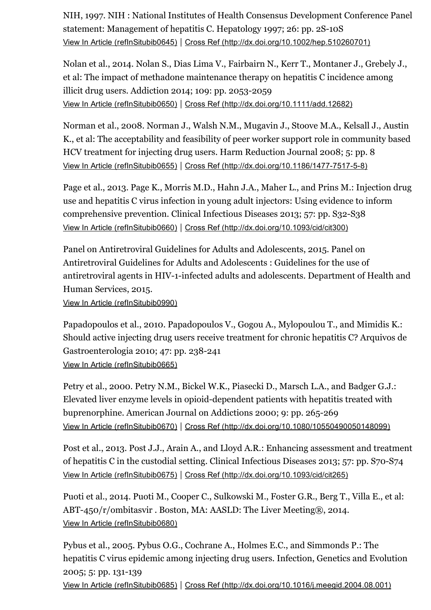NIH, 1997. NIH : National Institutes of Health Consensus Development Conference Panel statement: Management of hepatitis C. Hepatology 1997; 26: pp. 2S-10S View In Article [\(refInSitubib0645\)](https://www-clinicalkey-com-au.ezp.lib.unimelb.edu.au/refInSitubib0645) | Cross Ref [\(http://dx.doi.org/10.1002/hep.510260701\)](http://dx.doi.org/10.1002/hep.510260701)

Nolan et al., 2014. Nolan S., Dias Lima V., Fairbairn N., Kerr T., Montaner J., Grebely J., et al: The impact of methadone maintenance therapy on hepatitis C incidence among illicit drug users. Addiction 2014; 109: pp. 2053-2059 View In Article [\(refInSitubib0650\)](https://www-clinicalkey-com-au.ezp.lib.unimelb.edu.au/refInSitubib0650) | Cross Ref [\(http://dx.doi.org/10.1111/add.12682\)](http://dx.doi.org/10.1111/add.12682)

Norman et al., 2008. Norman J., Walsh N.M., Mugavin J., Stoove M.A., Kelsall J., Austin K., et al: The acceptability and feasibility of peer worker support role in community based HCV treatment for injecting drug users. Harm Reduction Journal 2008; 5: pp. 8 View In Article [\(refInSitubib0655\)](https://www-clinicalkey-com-au.ezp.lib.unimelb.edu.au/refInSitubib0655) | Cross Ref (http://dx.doi.org/10.1186/1477-7517-5-8)

Page et al., 2013. Page K., Morris M.D., Hahn J.A., Maher L., and Prins M.: Injection drug use and hepatitis C virus infection in young adult injectors: Using evidence to inform comprehensive prevention. Clinical Infectious Diseases 2013; 57: pp. S32-S38 View In Article [\(refInSitubib0660\)](https://www-clinicalkey-com-au.ezp.lib.unimelb.edu.au/refInSitubib0660) | Cross Ref [\(http://dx.doi.org/10.1093/cid/cit300\)](http://dx.doi.org/10.1093/cid/cit300)

Panel on Antiretroviral Guidelines for Adults and Adolescents, 2015. Panel on Antiretroviral Guidelines for Adults and Adolescents : Guidelines for the use of antiretroviral agents in HIV-1-infected adults and adolescents. Department of Health and Human Services, 2015.

View In Article [\(refInSitubib0990\)](https://www-clinicalkey-com-au.ezp.lib.unimelb.edu.au/refInSitubib0990)

Papadopoulos et al., 2010. Papadopoulos V., Gogou A., Mylopoulou T., and Mimidis K.: Should active injecting drug users receive treatment for chronic hepatitis C? Arquivos de Gastroenterologia 2010; 47: pp. 238-241 View In Article [\(refInSitubib0665\)](https://www-clinicalkey-com-au.ezp.lib.unimelb.edu.au/refInSitubib0665)

Petry et al., 2000. Petry N.M., Bickel W.K., Piasecki D., Marsch L.A., and Badger G.J.: Elevated liver enzyme levels in opioid-dependent patients with hepatitis treated with buprenorphine. American Journal on Addictions 2000; 9: pp. 265-269 View In Article [\(refInSitubib0670\)](https://www-clinicalkey-com-au.ezp.lib.unimelb.edu.au/refInSitubib0670) | Cross Ref [\(http://dx.doi.org/10.1080/10550490050148099\)](http://dx.doi.org/10.1080/10550490050148099)

Post et al., 2013. Post J.J., Arain A., and Lloyd A.R.: Enhancing assessment and treatment of hepatitis C in the custodial setting. Clinical Infectious Diseases 2013; 57: pp.  $S70-S74$ View In Article [\(refInSitubib0675\)](https://www-clinicalkey-com-au.ezp.lib.unimelb.edu.au/refInSitubib0675) | Cross Ref [\(http://dx.doi.org/10.1093/cid/cit265\)](http://dx.doi.org/10.1093/cid/cit265)

Puoti et al., 2014. Puoti M., Cooper C., Sulkowski M., Foster G.R., Berg T., Villa E., et al: ABT-450/r/ombitasvir. Boston, MA: AASLD: The Liver Meeting®, 2014. View In Article [\(refInSitubib0680\)](https://www-clinicalkey-com-au.ezp.lib.unimelb.edu.au/refInSitubib0680)

Pybus et al., 2005. Pybus O.G., Cochrane A., Holmes E.C., and Simmonds P.: The hepatitis C virus epidemic among injecting drug users. Infection, Genetics and Evolution 2005; 5: pp. 131-139

View In Article [\(refInSitubib0685\)](https://www-clinicalkey-com-au.ezp.lib.unimelb.edu.au/refInSitubib0685) | Cross Ref [\(http://dx.doi.org/10.1016/j.meegid.2004.08.001\)](http://dx.doi.org/10.1016/j.meegid.2004.08.001)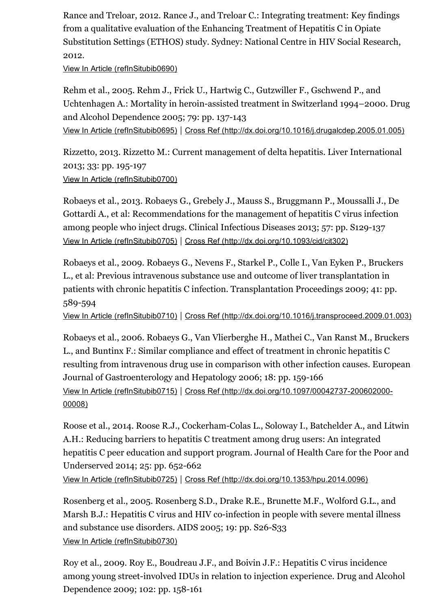Rance and Treloar, 2012. Rance J., and Treloar C.: Integrating treatment: Key findings from a qualitative evaluation of the Enhancing Treatment of Hepatitis C in Opiate Substitution Settings (ETHOS) study. Sydney: National Centre in HIV Social Research, 2012.

View In Article [\(refInSitubib0690\)](https://www-clinicalkey-com-au.ezp.lib.unimelb.edu.au/refInSitubib0690)

Rehm et al., 2005. Rehm J., Frick U., Hartwig C., Gutzwiller F., Gschwend P., and Uchtenhagen A.: Mortality in heroin-assisted treatment in Switzerland 1994–2000. Drug and Alcohol Dependence 2005; 79: pp. 137-143 View In Article [\(refInSitubib0695\)](https://www-clinicalkey-com-au.ezp.lib.unimelb.edu.au/refInSitubib0695) | Cross Ref [\(http://dx.doi.org/10.1016/j.drugalcdep.2005.01.005\)](http://dx.doi.org/10.1016/j.drugalcdep.2005.01.005)

Rizzetto, 2013. Rizzetto M.: Current management of delta hepatitis. Liver International 2013; 33: pp. 195197 View In Article [\(refInSitubib0700\)](https://www-clinicalkey-com-au.ezp.lib.unimelb.edu.au/refInSitubib0700)

Robaeys et al., 2013. Robaeys G., Grebely J., Mauss S., Bruggmann P., Moussalli J., De Gottardi A., et al: Recommendations for the management of hepatitis C virus infection among people who inject drugs. Clinical Infectious Diseases 2013; 57: pp. S129-137 View In Article [\(refInSitubib0705\)](https://www-clinicalkey-com-au.ezp.lib.unimelb.edu.au/refInSitubib0705) | Cross Ref [\(http://dx.doi.org/10.1093/cid/cit302\)](http://dx.doi.org/10.1093/cid/cit302)

Robaeys et al., 2009. Robaeys G., Nevens F., Starkel P., Colle I., Van Eyken P., Bruckers L., et al: Previous intravenous substance use and outcome of liver transplantation in patients with chronic hepatitis C infection. Transplantation Proceedings 2009; 41: pp. 589594

View In Article [\(refInSitubib0710\)](https://www-clinicalkey-com-au.ezp.lib.unimelb.edu.au/refInSitubib0710) | Cross Ref [\(http://dx.doi.org/10.1016/j.transproceed.2009.01.003\)](http://dx.doi.org/10.1016/j.transproceed.2009.01.003)

Robaeys et al., 2006. Robaeys G., Van Vlierberghe H., Mathei C., Van Ranst M., Bruckers L., and Buntinx F.: Similar compliance and effect of treatment in chronic hepatitis C resulting from intravenous drug use in comparison with other infection causes. European Journal of Gastroenterology and Hepatology 2006; 18: pp. 159-166 View In Article [\(refInSitubib0715\)](https://www-clinicalkey-com-au.ezp.lib.unimelb.edu.au/refInSitubib0715) | Cross Ref (http://dx.doi.org/10.1097/00042737-200602000-00008)

Roose et al., 2014. Roose R.J., Cockerham-Colas L., Soloway I., Batchelder A., and Litwin A.H.: Reducing barriers to hepatitis C treatment among drug users: An integrated hepatitis C peer education and support program. Journal of Health Care for the Poor and Underserved 2014; 25: pp. 652-662

View In Article [\(refInSitubib0725\)](https://www-clinicalkey-com-au.ezp.lib.unimelb.edu.au/refInSitubib0725) | Cross Ref [\(http://dx.doi.org/10.1353/hpu.2014.0096\)](http://dx.doi.org/10.1353/hpu.2014.0096)

Rosenberg et al., 2005. Rosenberg S.D., Drake R.E., Brunette M.F., Wolford G.L., and Marsh B.J.: Hepatitis C virus and HIV co-infection in people with severe mental illness and substance use disorders. AIDS 2005; 19: pp.  $S26-S33$ View In Article [\(refInSitubib0730\)](https://www-clinicalkey-com-au.ezp.lib.unimelb.edu.au/refInSitubib0730)

Roy et al., 2009. Roy E., Boudreau J.F., and Boivin J.F.: Hepatitis C virus incidence among young street-involved IDUs in relation to injection experience. Drug and Alcohol Dependence 2009; 102: pp. 158-161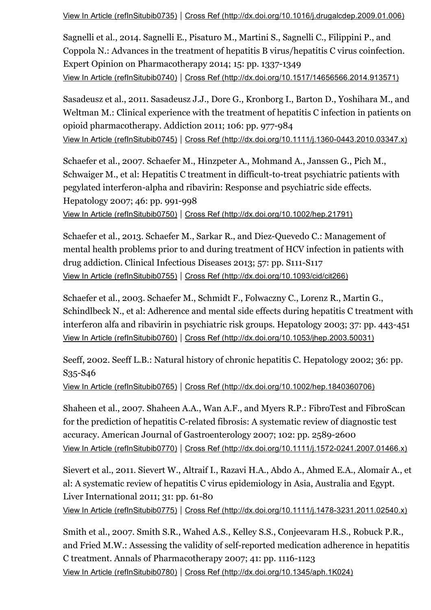View In Article [\(refInSitubib0735\)](https://www-clinicalkey-com-au.ezp.lib.unimelb.edu.au/refInSitubib0735) | Cross Ref [\(http://dx.doi.org/10.1016/j.drugalcdep.2009.01.006\)](http://dx.doi.org/10.1016/j.drugalcdep.2009.01.006)

Sagnelli et al., 2014. Sagnelli E., Pisaturo M., Martini S., Sagnelli C., Filippini P., and Coppola N.: Advances in the treatment of hepatitis B virus/hepatitis C virus coinfection. Expert Opinion on Pharmacotherapy 2014; 15: pp. 1337-1349 View In Article [\(refInSitubib0740\)](https://www-clinicalkey-com-au.ezp.lib.unimelb.edu.au/refInSitubib0740) | Cross Ref [\(http://dx.doi.org/10.1517/14656566.2014.913571\)](http://dx.doi.org/10.1517/14656566.2014.913571)

Sasadeusz et al., 2011. Sasadeusz J.J., Dore G., Kronborg I., Barton D., Yoshihara M., and Weltman M.: Clinical experience with the treatment of hepatitis C infection in patients on opioid pharmacotherapy. Addiction 2011; 106: pp. 977-984 View In Article [\(refInSitubib0745\)](https://www-clinicalkey-com-au.ezp.lib.unimelb.edu.au/refInSitubib0745) | Cross Ref (http://dx.doi.org/10.1111/j.1360-0443.2010.03347.x)

Schaefer et al., 2007. Schaefer M., Hinzpeter A., Mohmand A., Janssen G., Pich M., Schwaiger M., et al: Hepatitis C treatment in difficult-to-treat psychiatric patients with pegylated interferon-alpha and ribavirin: Response and psychiatric side effects. Hepatology 2007; 46: pp. 991-998

View In Article [\(refInSitubib0750\)](https://www-clinicalkey-com-au.ezp.lib.unimelb.edu.au/refInSitubib0750) | Cross Ref [\(http://dx.doi.org/10.1002/hep.21791\)](http://dx.doi.org/10.1002/hep.21791)

Schaefer et al., 2013. Schaefer M., Sarkar R., and Diez-Quevedo C.: Management of mental health problems prior to and during treatment of HCV infection in patients with drug addiction. Clinical Infectious Diseases 2013; 57: pp. S111-S117 View In Article [\(refInSitubib0755\)](https://www-clinicalkey-com-au.ezp.lib.unimelb.edu.au/refInSitubib0755) | Cross Ref [\(http://dx.doi.org/10.1093/cid/cit266\)](http://dx.doi.org/10.1093/cid/cit266)

Schaefer et al., 2003. Schaefer M., Schmidt F., Folwaczny C., Lorenz R., Martin G., Schindlbeck N., et al: Adherence and mental side effects during hepatitis C treatment with interferon alfa and ribavirin in psychiatric risk groups. Hepatology 2003; 37: pp. 443-451 View In Article [\(refInSitubib0760\)](https://www-clinicalkey-com-au.ezp.lib.unimelb.edu.au/refInSitubib0760) | Cross Ref [\(http://dx.doi.org/10.1053/jhep.2003.50031\)](http://dx.doi.org/10.1053/jhep.2003.50031)

Seeff, 2002. Seeff L.B.: Natural history of chronic hepatitis C. Hepatology 2002; 36: pp. S<sub>35</sub>-S<sub>46</sub>

View In Article [\(refInSitubib0765\)](https://www-clinicalkey-com-au.ezp.lib.unimelb.edu.au/refInSitubib0765) | Cross Ref [\(http://dx.doi.org/10.1002/hep.1840360706\)](http://dx.doi.org/10.1002/hep.1840360706)

Shaheen et al., 2007. Shaheen A.A., Wan A.F., and Myers R.P.: FibroTest and FibroScan for the prediction of hepatitis C-related fibrosis: A systematic review of diagnostic test accuracy. American Journal of Gastroenterology 2007; 102: pp. 2589-2600 View In Article [\(refInSitubib0770\)](https://www-clinicalkey-com-au.ezp.lib.unimelb.edu.au/refInSitubib0770) | Cross Ref (http://dx.doi.org/10.1111/j.1572-0241.2007.01466.x)

Sievert et al., 2011. Sievert W., Altraif I., Razavi H.A., Abdo A., Ahmed E.A., Alomair A., et al: A systematic review of hepatitis C virus epidemiology in Asia, Australia and Egypt. Liver International  $2011$ ;  $31$ : pp.  $61-80$ 

View In Article [\(refInSitubib0775\)](https://www-clinicalkey-com-au.ezp.lib.unimelb.edu.au/refInSitubib0775) | Cross Ref (http://dx.doi.org/10.1111/j.1478-3231.2011.02540.x)

Smith et al., 2007. Smith S.R., Wahed A.S., Kelley S.S., Conjeevaram H.S., Robuck P.R., and Fried M.W.: Assessing the validity of self-reported medication adherence in hepatitis C treatment. Annals of Pharmacotherapy 2007; 41: pp. 1116-1123 View In Article [\(refInSitubib0780\)](https://www-clinicalkey-com-au.ezp.lib.unimelb.edu.au/refInSitubib0780) | Cross Ref [\(http://dx.doi.org/10.1345/aph.1K024\)](http://dx.doi.org/10.1345/aph.1K024)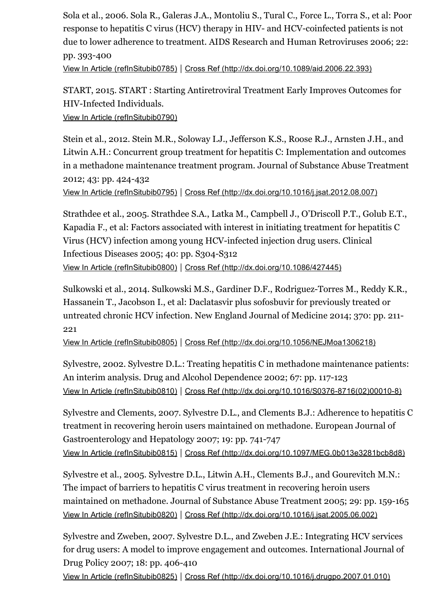Sola et al., 2006. Sola R., Galeras J.A., Montoliu S., Tural C., Force L., Torra S., et al: Poor response to hepatitis C virus (HCV) therapy in HIV- and HCV-coinfected patients is not due to lower adherence to treatment. AIDS Research and Human Retroviruses 2006; 22: pp. 393400 View In Article [\(refInSitubib0785\)](https://www-clinicalkey-com-au.ezp.lib.unimelb.edu.au/refInSitubib0785) | Cross Ref [\(http://dx.doi.org/10.1089/aid.2006.22.393\)](http://dx.doi.org/10.1089/aid.2006.22.393)

START, 2015. START : Starting Antiretroviral Treatment Early Improves Outcomes for HIV-Infected Individuals.

View In Article [\(refInSitubib0790\)](https://www-clinicalkey-com-au.ezp.lib.unimelb.edu.au/refInSitubib0790)

Stein et al., 2012. Stein M.R., Soloway I.J., Jefferson K.S., Roose R.J., Arnsten J.H., and Litwin A.H.: Concurrent group treatment for hepatitis C: Implementation and outcomes in a methadone maintenance treatment program. Journal of Substance Abuse Treatment 2012; 43: pp. 424-432

View In Article [\(refInSitubib0795\)](https://www-clinicalkey-com-au.ezp.lib.unimelb.edu.au/refInSitubib0795) | Cross Ref [\(http://dx.doi.org/10.1016/j.jsat.2012.08.007\)](http://dx.doi.org/10.1016/j.jsat.2012.08.007)

Strathdee et al., 2005. Strathdee S.A., Latka M., Campbell J., O'Driscoll P.T., Golub E.T., Kapadia F., et al: Factors associated with interest in initiating treatment for hepatitis C Virus (HCV) infection among young HCV-infected injection drug users. Clinical Infectious Diseases 2005; 40: pp. S304-S312 View In Article [\(refInSitubib0800\)](https://www-clinicalkey-com-au.ezp.lib.unimelb.edu.au/refInSitubib0800) | Cross Ref [\(http://dx.doi.org/10.1086/427445\)](http://dx.doi.org/10.1086/427445)

Sulkowski et al., 2014. Sulkowski M.S., Gardiner D.F., Rodriguez-Torres M., Reddy K.R., Hassanein T., Jacobson I., et al: Daclatasvir plus sofosbuvir for previously treated or untreated chronic HCV infection. New England Journal of Medicine 2014; 370: pp. 211 221

View In Article [\(refInSitubib0805\)](https://www-clinicalkey-com-au.ezp.lib.unimelb.edu.au/refInSitubib0805) | Cross Ref [\(http://dx.doi.org/10.1056/NEJMoa1306218\)](http://dx.doi.org/10.1056/NEJMoa1306218)

Sylvestre, 2002. Sylvestre D.L.: Treating hepatitis C in methadone maintenance patients: An interim analysis. Drug and Alcohol Dependence 2002; 67: pp. 117-123 View In Article [\(refInSitubib0810\)](https://www-clinicalkey-com-au.ezp.lib.unimelb.edu.au/refInSitubib0810) | Cross Ref (http://dx.doi.org/10.1016/S0376-8716(02)00010-8)

Sylvestre and Clements, 2007. Sylvestre D.L., and Clements B.J.: Adherence to hepatitis C treatment in recovering heroin users maintained on methadone. European Journal of Gastroenterology and Hepatology 2007; 19: pp. 741-747 View In Article [\(refInSitubib0815\)](https://www-clinicalkey-com-au.ezp.lib.unimelb.edu.au/refInSitubib0815) | Cross Ref [\(http://dx.doi.org/10.1097/MEG.0b013e3281bcb8d8\)](http://dx.doi.org/10.1097/MEG.0b013e3281bcb8d8)

Sylvestre et al., 2005. Sylvestre D.L., Litwin A.H., Clements B.J., and Gourevitch M.N.: The impact of barriers to hepatitis C virus treatment in recovering heroin users maintained on methadone. Journal of Substance Abuse Treatment 2005; 29: pp. 159-165 View In Article [\(refInSitubib0820\)](https://www-clinicalkey-com-au.ezp.lib.unimelb.edu.au/refInSitubib0820) | Cross Ref [\(http://dx.doi.org/10.1016/j.jsat.2005.06.002\)](http://dx.doi.org/10.1016/j.jsat.2005.06.002)

Sylvestre and Zweben, 2007. Sylvestre D.L., and Zweben J.E.: Integrating HCV services for drug users: A model to improve engagement and outcomes. International Journal of Drug Policy 2007; 18: pp. 406-410

View In Article [\(refInSitubib0825\)](https://www-clinicalkey-com-au.ezp.lib.unimelb.edu.au/refInSitubib0825) | Cross Ref [\(http://dx.doi.org/10.1016/j.drugpo.2007.01.010\)](http://dx.doi.org/10.1016/j.drugpo.2007.01.010)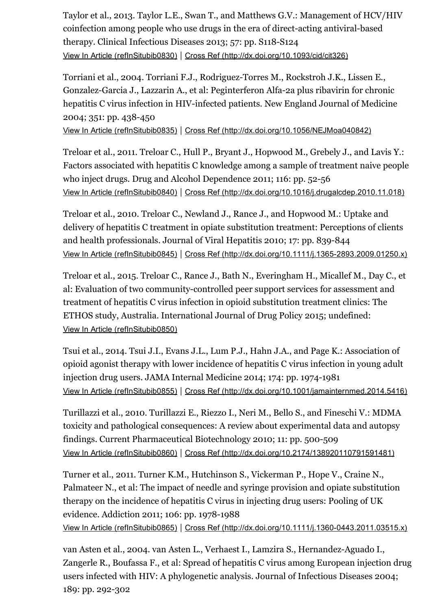Taylor et al., 2013. Taylor L.E., Swan T., and Matthews G.V.: Management of HCV/HIV coinfection among people who use drugs in the era of direct-acting antiviral-based therapy. Clinical Infectious Diseases 2013; 57: pp. S118-S124 View In Article [\(refInSitubib0830\)](https://www-clinicalkey-com-au.ezp.lib.unimelb.edu.au/refInSitubib0830) | Cross Ref [\(http://dx.doi.org/10.1093/cid/cit326\)](http://dx.doi.org/10.1093/cid/cit326)

Torriani et al., 2004. Torriani F.J., Rodriguez-Torres M., Rockstroh J.K., Lissen E., Gonzalez-Garcia J., Lazzarin A., et al: Peginterferon Alfa-2a plus ribavirin for chronic hepatitis C virus infection in HIV-infected patients. New England Journal of Medicine 2004; 351: pp. 438-450

View In Article [\(refInSitubib0835\)](https://www-clinicalkey-com-au.ezp.lib.unimelb.edu.au/refInSitubib0835) | Cross Ref [\(http://dx.doi.org/10.1056/NEJMoa040842\)](http://dx.doi.org/10.1056/NEJMoa040842)

Treloar et al., 2011. Treloar C., Hull P., Bryant J., Hopwood M., Grebely J., and Lavis Y.: Factors associated with hepatitis C knowledge among a sample of treatment naive people who inject drugs. Drug and Alcohol Dependence 2011; 116: pp. 52-56 View In Article [\(refInSitubib0840\)](https://www-clinicalkey-com-au.ezp.lib.unimelb.edu.au/refInSitubib0840) | Cross Ref [\(http://dx.doi.org/10.1016/j.drugalcdep.2010.11.018\)](http://dx.doi.org/10.1016/j.drugalcdep.2010.11.018)

Treloar et al., 2010. Treloar C., Newland J., Rance J., and Hopwood M.: Uptake and delivery of hepatitis C treatment in opiate substitution treatment: Perceptions of clients and health professionals. Journal of Viral Hepatitis 2010; 17: pp. 839-844 View In Article [\(refInSitubib0845\)](https://www-clinicalkey-com-au.ezp.lib.unimelb.edu.au/refInSitubib0845) | Cross Ref [\(http://dx.doi.org/10.1111/j.13652893.2009.01250.x\)](http://dx.doi.org/10.1111/j.1365-2893.2009.01250.x)

Treloar et al., 2015. Treloar C., Rance J., Bath N., Everingham H., Micallef M., Day C., et al: Evaluation of two community-controlled peer support services for assessment and treatment of hepatitis C virus infection in opioid substitution treatment clinics: The ETHOS study, Australia. International Journal of Drug Policy 2015; undefined: View In Article [\(refInSitubib0850\)](https://www-clinicalkey-com-au.ezp.lib.unimelb.edu.au/refInSitubib0850)

Tsui et al., 2014. Tsui J.I., Evans J.L., Lum P.J., Hahn J.A., and Page K.: Association of opioid agonist therapy with lower incidence of hepatitis C virus infection in young adult injection drug users. JAMA Internal Medicine 2014; 174: pp. 1974-1981 View In Article [\(refInSitubib0855\)](https://www-clinicalkey-com-au.ezp.lib.unimelb.edu.au/refInSitubib0855) | Cross Ref [\(http://dx.doi.org/10.1001/jamainternmed.2014.5416\)](http://dx.doi.org/10.1001/jamainternmed.2014.5416)

Turillazzi et al., 2010. Turillazzi E., Riezzo I., Neri M., Bello S., and Fineschi V.: MDMA toxicity and pathological consequences: A review about experimental data and autopsy findings. Current Pharmaceutical Biotechnology 2010; 11: pp. 500-509 View In Article [\(refInSitubib0860\)](https://www-clinicalkey-com-au.ezp.lib.unimelb.edu.au/refInSitubib0860) | Cross Ref [\(http://dx.doi.org/10.2174/138920110791591481\)](http://dx.doi.org/10.2174/138920110791591481)

Turner et al., 2011. Turner K.M., Hutchinson S., Vickerman P., Hope V., Craine N., Palmateer N., et al: The impact of needle and syringe provision and opiate substitution therapy on the incidence of hepatitis C virus in injecting drug users: Pooling of UK evidence. Addiction 2011; 106: pp. 1978-1988

View In Article [\(refInSitubib0865\)](https://www-clinicalkey-com-au.ezp.lib.unimelb.edu.au/refInSitubib0865) | Cross Ref (http://dx.doi.org/10.1111/j.1360-0443.2011.03515.x)

van Asten et al., 2004. van Asten L., Verhaest I., Lamzira S., Hernandez-Aguado I., Zangerle R., Boufassa F., et al: Spread of hepatitis C virus among European injection drug users infected with HIV: A phylogenetic analysis. Journal of Infectious Diseases 2004; 189: pp. 292-302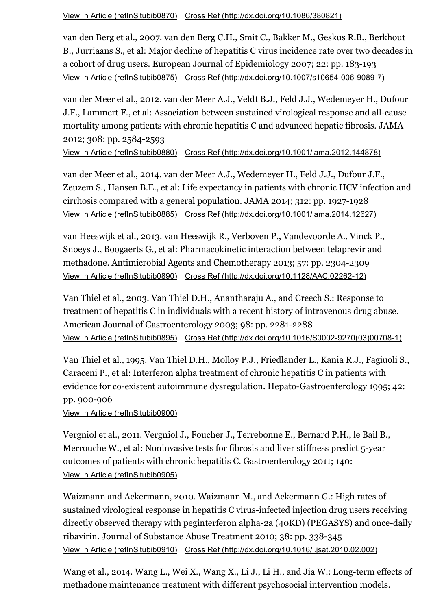View In Article [\(refInSitubib0870\)](https://www-clinicalkey-com-au.ezp.lib.unimelb.edu.au/refInSitubib0870) | Cross Ref [\(http://dx.doi.org/10.1086/380821\)](http://dx.doi.org/10.1086/380821)

van den Berg et al., 2007. van den Berg C.H., Smit C., Bakker M., Geskus R.B., Berkhout B., Jurriaans S., et al: Major decline of hepatitis C virus incidence rate over two decades in a cohort of drug users. European Journal of Epidemiology 2007; 22: pp. 183-193 View In Article [\(refInSitubib0875\)](https://www-clinicalkey-com-au.ezp.lib.unimelb.edu.au/refInSitubib0875) | Cross Ref (http://dx.doi.org/10.1007/s10654-006-9089-7)

van der Meer et al., 2012. van der Meer A.J., Veldt B.J., Feld J.J., Wedemeyer H., Dufour J.F., Lammert F., et al: Association between sustained virological response and all-cause mortality among patients with chronic hepatitis C and advanced hepatic fibrosis. JAMA 2012; 308: pp. 2584-2593

View In Article [\(refInSitubib0880\)](https://www-clinicalkey-com-au.ezp.lib.unimelb.edu.au/refInSitubib0880) | Cross Ref [\(http://dx.doi.org/10.1001/jama.2012.144878\)](http://dx.doi.org/10.1001/jama.2012.144878)

van der Meer et al., 2014. van der Meer A.J., Wedemeyer H., Feld J.J., Dufour J.F., Zeuzem S., Hansen B.E., et al: Life expectancy in patients with chronic HCV infection and cirrhosis compared with a general population. JAMA 2014;  $312$ : pp. 1927-1928 View In Article [\(refInSitubib0885\)](https://www-clinicalkey-com-au.ezp.lib.unimelb.edu.au/refInSitubib0885) | Cross Ref [\(http://dx.doi.org/10.1001/jama.2014.12627\)](http://dx.doi.org/10.1001/jama.2014.12627)

van Heeswijk et al., 2013. van Heeswijk R., Verboven P., Vandevoorde A., Vinck P., Snoeys J., Boogaerts G., et al: Pharmacokinetic interaction between telaprevir and methadone. Antimicrobial Agents and Chemotherapy 2013; 57: pp. 2304-2309 View In Article [\(refInSitubib0890\)](https://www-clinicalkey-com-au.ezp.lib.unimelb.edu.au/refInSitubib0890) | Cross Ref [\(http://dx.doi.org/10.1128/AAC.0226212\)](http://dx.doi.org/10.1128/AAC.02262-12)

Van Thiel et al., 2003. Van Thiel D.H., Anantharaju A., and Creech S.: Response to treatment of hepatitis C in individuals with a recent history of intravenous drug abuse. American Journal of Gastroenterology 2003; 98: pp. 2281-2288 View In Article [\(refInSitubib0895\)](https://www-clinicalkey-com-au.ezp.lib.unimelb.edu.au/refInSitubib0895) | Cross Ref (http://dx.doi.org/10.1016/S0002-9270(03)00708-1)

Van Thiel et al., 1995. Van Thiel D.H., Molloy P.J., Friedlander L., Kania R.J., Fagiuoli S., Caraceni P., et al: Interferon alpha treatment of chronic hepatitis C in patients with evidence for co-existent autoimmune dysregulation. Hepato-Gastroenterology 1995; 42: pp. 900-906

View In Article [\(refInSitubib0900\)](https://www-clinicalkey-com-au.ezp.lib.unimelb.edu.au/refInSitubib0900)

Vergniol et al., 2011. Vergniol J., Foucher J., Terrebonne E., Bernard P.H., le Bail B., Merrouche W., et al: Noninvasive tests for fibrosis and liver stiffness predict 5-year outcomes of patients with chronic hepatitis C. Gastroenterology 2011; 140: View In Article [\(refInSitubib0905\)](https://www-clinicalkey-com-au.ezp.lib.unimelb.edu.au/refInSitubib0905)

Waizmann and Ackermann, 2010. Waizmann M., and Ackermann G.: High rates of sustained virological response in hepatitis C virus-infected injection drug users receiving directly observed therapy with peginterferon alpha-2a (40KD) (PEGASYS) and once-daily ribavirin. Journal of Substance Abuse Treatment 2010; 38: pp. 338-345 View In Article [\(refInSitubib0910\)](https://www-clinicalkey-com-au.ezp.lib.unimelb.edu.au/refInSitubib0910) | Cross Ref [\(http://dx.doi.org/10.1016/j.jsat.2010.02.002\)](http://dx.doi.org/10.1016/j.jsat.2010.02.002)

Wang et al., 2014. Wang L., Wei X., Wang X., Li J., Li H., and Jia W.: Long-term effects of methadone maintenance treatment with different psychosocial intervention models.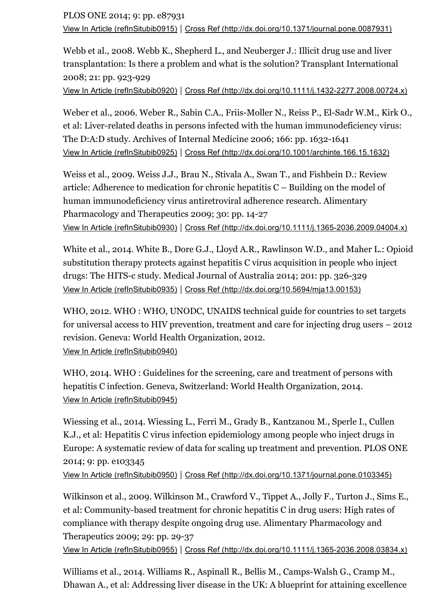PLOS ONE 2014; 9: pp. e87931 View In Article [\(refInSitubib0915\)](https://www-clinicalkey-com-au.ezp.lib.unimelb.edu.au/refInSitubib0915) | Cross Ref [\(http://dx.doi.org/10.1371/journal.pone.0087931\)](http://dx.doi.org/10.1371/journal.pone.0087931)

Webb et al., 2008. Webb K., Shepherd L., and Neuberger J.: Illicit drug use and liver transplantation: Is there a problem and what is the solution? Transplant International 2008; 21: pp. 923-929

View In Article [\(refInSitubib0920\)](https://www-clinicalkey-com-au.ezp.lib.unimelb.edu.au/refInSitubib0920) | Cross Ref (http://dx.doi.org/10.1111/j.1432-2277.2008.00724.x)

Weber et al., 2006. Weber R., Sabin C.A., Friis-Moller N., Reiss P., El-Sadr W.M., Kirk O., et al: Liver-related deaths in persons infected with the human immunodeficiency virus: The D:A:D study. Archives of Internal Medicine 2006; 166: pp. 1632-1641 View In Article [\(refInSitubib0925\)](https://www-clinicalkey-com-au.ezp.lib.unimelb.edu.au/refInSitubib0925) | Cross Ref [\(http://dx.doi.org/10.1001/archinte.166.15.1632\)](http://dx.doi.org/10.1001/archinte.166.15.1632)

Weiss et al., 2009. Weiss J.J., Brau N., Stivala A., Swan T., and Fishbein D.: Review article: Adherence to medication for chronic hepatitis C – Building on the model of human immunodeficiency virus antiretroviral adherence research. Alimentary Pharmacology and Therapeutics 2009; 30: pp. 14-27 View In Article [\(refInSitubib0930\)](https://www-clinicalkey-com-au.ezp.lib.unimelb.edu.au/refInSitubib0930) | Cross Ref [\(http://dx.doi.org/10.1111/j.13652036.2009.04004.x\)](http://dx.doi.org/10.1111/j.1365-2036.2009.04004.x)

White et al., 2014. White B., Dore G.J., Lloyd A.R., Rawlinson W.D., and Maher L.: Opioid substitution therapy protects against hepatitis C virus acquisition in people who inject drugs: The HITS-c study. Medical Journal of Australia 2014; 201: pp. 326-329 View In Article [\(refInSitubib0935\)](https://www-clinicalkey-com-au.ezp.lib.unimelb.edu.au/refInSitubib0935) | Cross Ref [\(http://dx.doi.org/10.5694/mja13.00153\)](http://dx.doi.org/10.5694/mja13.00153)

WHO, 2012. WHO : WHO, UNODC, UNAIDS technical guide for countries to set targets for universal access to HIV prevention, treatment and care for injecting drug users – 2012 revision. Geneva: World Health Organization, 2012. View In Article [\(refInSitubib0940\)](https://www-clinicalkey-com-au.ezp.lib.unimelb.edu.au/refInSitubib0940)

WHO, 2014. WHO : Guidelines for the screening, care and treatment of persons with hepatitis C infection. Geneva, Switzerland: World Health Organization, 2014. View In Article [\(refInSitubib0945\)](https://www-clinicalkey-com-au.ezp.lib.unimelb.edu.au/refInSitubib0945)

Wiessing et al., 2014. Wiessing L., Ferri M., Grady B., Kantzanou M., Sperle I., Cullen K.J., et al: Hepatitis C virus infection epidemiology among people who inject drugs in Europe: A systematic review of data for scaling up treatment and prevention. PLOS ONE 2014; 9: pp. e103345

View In Article [\(refInSitubib0950\)](https://www-clinicalkey-com-au.ezp.lib.unimelb.edu.au/refInSitubib0950) | Cross Ref [\(http://dx.doi.org/10.1371/journal.pone.0103345\)](http://dx.doi.org/10.1371/journal.pone.0103345)

Wilkinson et al., 2009. Wilkinson M., Crawford V., Tippet A., Jolly F., Turton J., Sims E., et al: Community-based treatment for chronic hepatitis C in drug users: High rates of compliance with therapy despite ongoing drug use. Alimentary Pharmacology and Therapeutics 2009; 29: pp. 29-37

View In Article [\(refInSitubib0955\)](https://www-clinicalkey-com-au.ezp.lib.unimelb.edu.au/refInSitubib0955) | Cross Ref (http://dx.doi.org/10.1111/j.1365-2036.2008.03834.x)

Williams et al., 2014. Williams R., Aspinall R., Bellis M., Camps-Walsh G., Cramp M., Dhawan A., et al: Addressing liver disease in the UK: A blueprint for attaining excellence